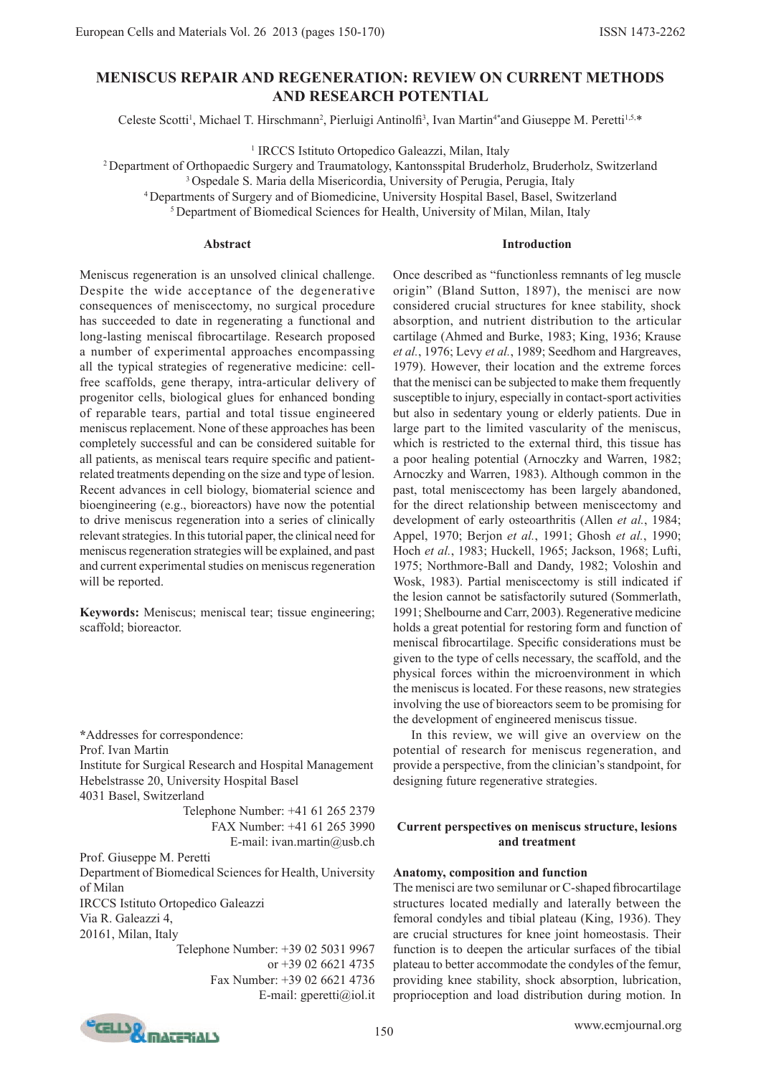# **MENISCUS REPAIR AND REGENERATION: REVIEW ON CURRENT METHODS AND RESEARCH POTENTIAL**

Celeste Scotti<sup>1</sup>, Michael T. Hirschmann<sup>2</sup>, Pierluigi Antinolfi<sup>3</sup>, Ivan Martin<sup>4\*</sup>and Giuseppe M. Peretti<sup>1,5,\*</sup>

<sup>1</sup> IRCCS Istituto Ortopedico Galeazzi, Milan, Italy

<sup>2</sup>Department of Orthopaedic Surgery and Traumatology, Kantonsspital Bruderholz, Bruderholz, Switzerland

<sup>3</sup> Ospedale S. Maria della Misericordia, University of Perugia, Perugia, Italy

<sup>4</sup>Departments of Surgery and of Biomedicine, University Hospital Basel, Basel, Switzerland

<sup>5</sup> Department of Biomedical Sciences for Health, University of Milan, Milan, Italy

# **Abstract**

# **Introduction**

Meniscus regeneration is an unsolved clinical challenge. Despite the wide acceptance of the degenerative consequences of meniscectomy, no surgical procedure has succeeded to date in regenerating a functional and long-lasting meniscal fibrocartilage. Research proposed a number of experimental approaches encompassing all the typical strategies of regenerative medicine: cellfree scaffolds, gene therapy, intra-articular delivery of progenitor cells, biological glues for enhanced bonding of reparable tears, partial and total tissue engineered meniscus replacement. None of these approaches has been completely successful and can be considered suitable for all patients, as meniscal tears require specific and patientrelated treatments depending on the size and type of lesion. Recent advances in cell biology, biomaterial science and bioengineering (e.g., bioreactors) have now the potential to drive meniscus regeneration into a series of clinically relevant strategies. In this tutorial paper, the clinical need for meniscus regeneration strategies will be explained, and past and current experimental studies on meniscus regeneration will be reported.

**Keywords:** Meniscus; meniscal tear; tissue engineering; scaffold; bioreactor.

**\***Addresses for correspondence: Prof. Ivan Martin Institute for Surgical Research and Hospital Management Hebelstrasse 20, University Hospital Basel 4031 Basel, Switzerland

Telephone Number: +41 61 265 2379 FAX Number: +41 61 265 3990 E-mail: ivan.martin@usb.ch

Prof. Giuseppe M. Peretti

Department of Biomedical Sciences for Health, University of Milan IRCCS Istituto Ortopedico Galeazzi

Via R. Galeazzi 4,

20161, Milan, Italy

Telephone Number: +39 02 5031 9967 or +39 02 6621 4735 Fax Number: +39 02 6621 4736 E-mail: gperetti@iol.it

Once described as "functionless remnants of leg muscle origin" (Bland Sutton, 1897), the menisci are now considered crucial structures for knee stability, shock absorption, and nutrient distribution to the articular cartilage (Ahmed and Burke, 1983; King, 1936; Krause *et al.*, 1976; Levy *et al.*, 1989; Seedhom and Hargreaves, 1979). However, their location and the extreme forces that the menisci can be subjected to make them frequently susceptible to injury, especially in contact-sport activities but also in sedentary young or elderly patients. Due in large part to the limited vascularity of the meniscus, which is restricted to the external third, this tissue has a poor healing potential (Arnoczky and Warren, 1982; Arnoczky and Warren, 1983). Although common in the past, total meniscectomy has been largely abandoned, for the direct relationship between meniscectomy and development of early osteoarthritis (Allen *et al.*, 1984; Appel, 1970; Berjon *et al.*, 1991; Ghosh *et al.*, 1990; Hoch *et al.*, 1983; Huckell, 1965; Jackson, 1968; Lufti, 1975; Northmore-Ball and Dandy, 1982; Voloshin and Wosk, 1983). Partial meniscectomy is still indicated if the lesion cannot be satisfactorily sutured (Sommerlath, 1991; Shelbourne and Carr, 2003). Regenerative medicine holds a great potential for restoring form and function of meniscal fibrocartilage. Specific considerations must be given to the type of cells necessary, the scaffold, and the physical forces within the microenvironment in which the meniscus is located. For these reasons, new strategies involving the use of bioreactors seem to be promising for the development of engineered meniscus tissue.

In this review, we will give an overview on the potential of research for meniscus regeneration, and provide a perspective, from the clinician's standpoint, for designing future regenerative strategies.

# **Current perspectives on meniscus structure, lesions and treatment**

# **Anatomy, composition and function**

The menisci are two semilunar or C-shaped fibrocartilage structures located medially and laterally between the femoral condyles and tibial plateau (King, 1936). They are crucial structures for knee joint homeostasis. Their function is to deepen the articular surfaces of the tibial plateau to better accommodate the condyles of the femur, providing knee stability, shock absorption, lubrication, proprioception and load distribution during motion. In

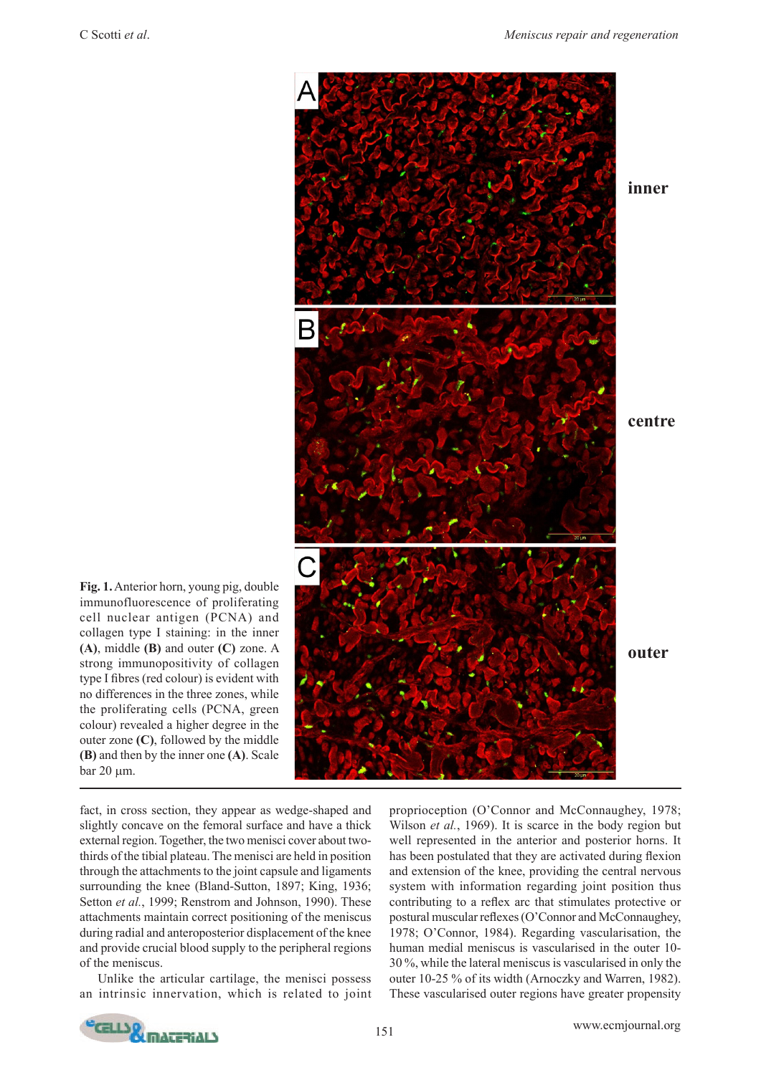

**Fig. 1.** Anterior horn, young pig, double immunofluorescence of proliferating cell nuclear antigen (PCNA) and collagen type I staining: in the inner **(A)**, middle **(B)** and outer **(C)** zone. A strong immunopositivity of collagen type I fibres (red colour) is evident with no differences in the three zones, while the proliferating cells (PCNA, green colour) revealed a higher degree in the outer zone **(C)**, followed by the middle **(B)** and then by the inner one **(A)**. Scale  $bar 20 \mu m$ .

fact, in cross section, they appear as wedge-shaped and slightly concave on the femoral surface and have a thick external region. Together, the two menisci cover about twothirds of the tibial plateau. The menisci are held in position through the attachments to the joint capsule and ligaments surrounding the knee (Bland-Sutton, 1897; King, 1936; Setton *et al.*, 1999; Renstrom and Johnson, 1990). These attachments maintain correct positioning of the meniscus during radial and anteroposterior displacement of the knee and provide crucial blood supply to the peripheral regions of the meniscus.

Unlike the articular cartilage, the menisci possess an intrinsic innervation, which is related to joint

proprioception (O'Connor and McConnaughey, 1978; Wilson *et al.*, 1969). It is scarce in the body region but well represented in the anterior and posterior horns. It has been postulated that they are activated during flexion and extension of the knee, providing the central nervous system with information regarding joint position thus contributing to a reflex arc that stimulates protective or postural muscular reflexes (O'Connor and McConnaughey, 1978; O'Connor, 1984). Regarding vascularisation, the human medial meniscus is vascularised in the outer 10- 30 %, while the lateral meniscus is vascularised in only the outer 10-25 % of its width (Arnoczky and Warren, 1982). These vascularised outer regions have greater propensity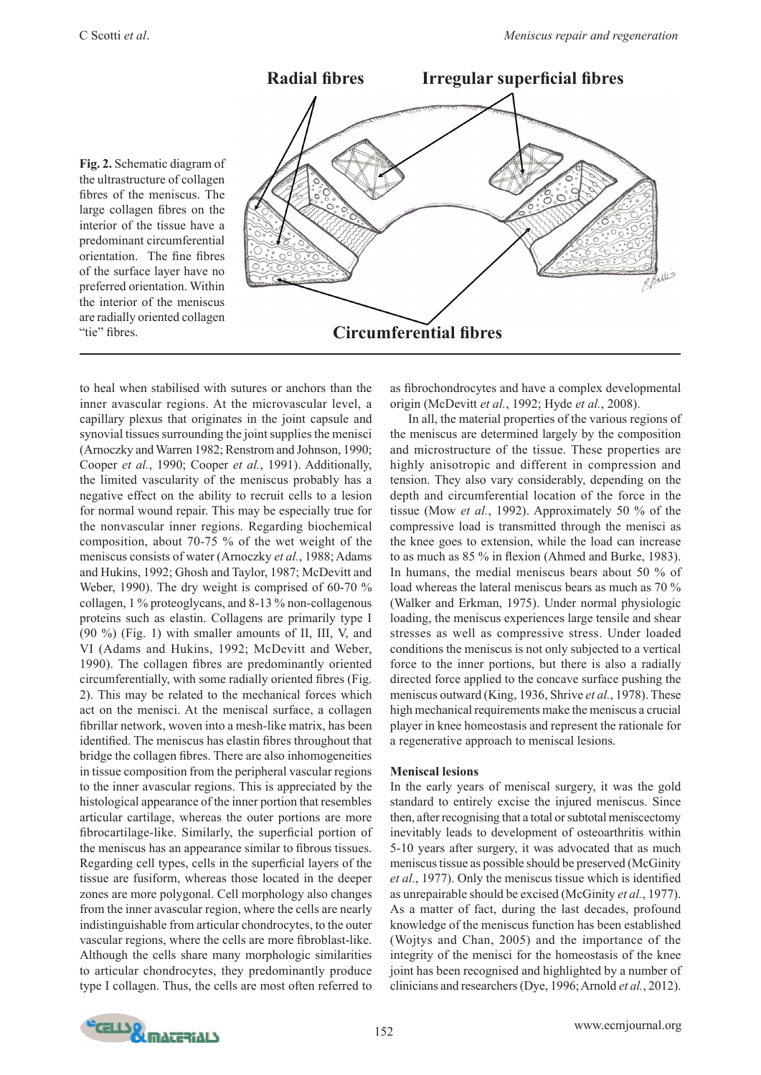

to heal when stabilised with sutures or anchors than the inner avascular regions. At the microvascular level, a capillary plexus that originates in the joint capsule and synovial tissues surrounding the joint supplies the menisci (Arnoczky and Warren 1982; Renstrom and Johnson, 1990; Cooper *et al.*, 1990; Cooper *et al.*, 1991). Additionally, the limited vascularity of the meniscus probably has a negative effect on the ability to recruit cells to a lesion for normal wound repair. This may be especially true for the nonvascular inner regions. Regarding biochemical composition, about 70-75 % of the wet weight of the meniscus consists of water (Arnoczky *et al.*, 1988; Adams and Hukins, 1992; Ghosh and Taylor, 1987; McDevitt and Weber, 1990). The dry weight is comprised of 60-70 % collagen, 1 % proteoglycans, and 8-13 % non-collagenous proteins such as elastin. Collagens are primarily type I (90 %) (Fig. 1) with smaller amounts of II, III, V, and VI (Adams and Hukins, 1992; McDevitt and Weber, 1990). The collagen fibres are predominantly oriented circumferentially, with some radially oriented fibres (Fig. 2). This may be related to the mechanical forces which act on the menisci. At the meniscal surface, a collagen fibrillar network, woven into a mesh-like matrix, has been identified. The meniscus has elastin fibres throughout that bridge the collagen fibres. There are also inhomogeneities in tissue composition from the peripheral vascular regions to the inner avascular regions. This is appreciated by the histological appearance of the inner portion that resembles articular cartilage, whereas the outer portions are more fibrocartilage-like. Similarly, the superficial portion of the meniscus has an appearance similar to fibrous tissues. Regarding cell types, cells in the superficial layers of the tissue are fusiform, whereas those located in the deeper zones are more polygonal. Cell morphology also changes from the inner avascular region, where the cells are nearly indistinguishable from articular chondrocytes, to the outer vascular regions, where the cells are more fibroblast-like. Although the cells share many morphologic similarities to articular chondrocytes, they predominantly produce type I collagen. Thus, the cells are most often referred to

as fibrochondrocytes and have a complex developmental origin (McDevitt *et al.*, 1992; Hyde *et al.*, 2008).

In all, the material properties of the various regions of the meniscus are determined largely by the composition and microstructure of the tissue. These properties are highly anisotropic and different in compression and tension. They also vary considerably, depending on the depth and circumferential location of the force in the tissue (Mow *et al.*, 1992). Approximately 50 % of the compressive load is transmitted through the menisci as the knee goes to extension, while the load can increase to as much as 85 % in flexion (Ahmed and Burke, 1983). In humans, the medial meniscus bears about 50 % of load whereas the lateral meniscus bears as much as 70 % (Walker and Erkman, 1975). Under normal physiologic loading, the meniscus experiences large tensile and shear stresses as well as compressive stress. Under loaded conditions the meniscus is not only subjected to a vertical force to the inner portions, but there is also a radially directed force applied to the concave surface pushing the meniscus outward (King, 1936, Shrive *et al.*, 1978). These high mechanical requirements make the meniscus a crucial player in knee homeostasis and represent the rationale for a regenerative approach to meniscal lesions.

#### **Meniscal lesions**

In the early years of meniscal surgery, it was the gold standard to entirely excise the injured meniscus. Since then, after recognising that a total or subtotal meniscectomy inevitably leads to development of osteoarthritis within 5-10 years after surgery, it was advocated that as much meniscus tissue as possible should be preserved (McGinity *et al.*, 1977). Only the meniscus tissue which is identified as unrepairable should be excised (McGinity *et al.*, 1977). As a matter of fact, during the last decades, profound knowledge of the meniscus function has been established (Wojtys and Chan, 2005) and the importance of the integrity of the menisci for the homeostasis of the knee joint has been recognised and highlighted by a number of clinicians and researchers (Dye, 1996; Arnold *et al.*, 2012).

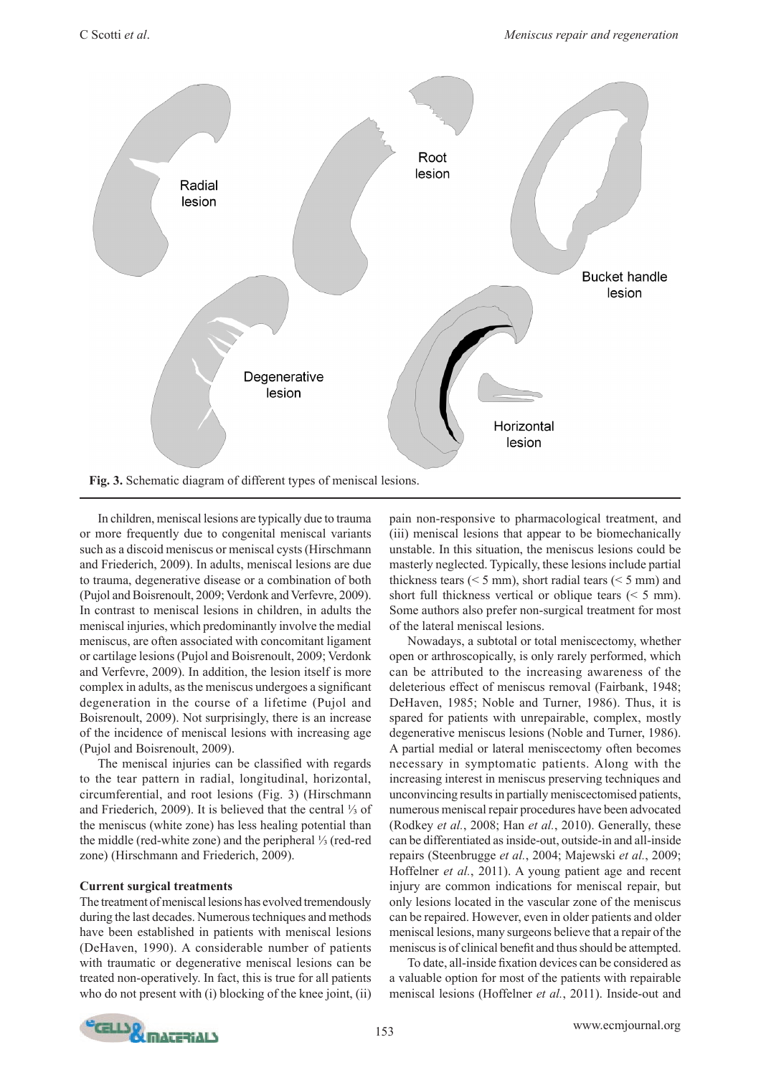

In children, meniscal lesions are typically due to trauma or more frequently due to congenital meniscal variants such as a discoid meniscus or meniscal cysts (Hirschmann and Friederich, 2009). In adults, meniscal lesions are due to trauma, degenerative disease or a combination of both (Pujol and Boisrenoult, 2009; Verdonk and Verfevre, 2009). In contrast to meniscal lesions in children, in adults the meniscal injuries, which predominantly involve the medial meniscus, are often associated with concomitant ligament or cartilage lesions (Pujol and Boisrenoult, 2009; Verdonk and Verfevre, 2009). In addition, the lesion itself is more complex in adults, as the meniscus undergoes a significant degeneration in the course of a lifetime (Pujol and Boisrenoult, 2009). Not surprisingly, there is an increase of the incidence of meniscal lesions with increasing age (Pujol and Boisrenoult, 2009).

The meniscal injuries can be classified with regards to the tear pattern in radial, longitudinal, horizontal, circumferential, and root lesions (Fig. 3) (Hirschmann and Friederich, 2009). It is believed that the central ⅓ of the meniscus (white zone) has less healing potential than the middle (red-white zone) and the peripheral ⅓ (red-red zone) (Hirschmann and Friederich, 2009).

# **Current surgical treatments**

The treatment of meniscal lesions has evolved tremendously during the last decades. Numerous techniques and methods have been established in patients with meniscal lesions (DeHaven, 1990). A considerable number of patients with traumatic or degenerative meniscal lesions can be treated non-operatively. In fact, this is true for all patients who do not present with (i) blocking of the knee joint, (ii) pain non-responsive to pharmacological treatment, and (iii) meniscal lesions that appear to be biomechanically unstable. In this situation, the meniscus lesions could be masterly neglected. Typically, these lesions include partial thickness tears  $(< 5$  mm), short radial tears  $(< 5$  mm) and short full thickness vertical or oblique tears  $(< 5$  mm). Some authors also prefer non-surgical treatment for most of the lateral meniscal lesions.

Nowadays, a subtotal or total meniscectomy, whether open or arthroscopically, is only rarely performed, which can be attributed to the increasing awareness of the deleterious effect of meniscus removal (Fairbank, 1948; DeHaven, 1985; Noble and Turner, 1986). Thus, it is spared for patients with unrepairable, complex, mostly degenerative meniscus lesions (Noble and Turner, 1986). A partial medial or lateral meniscectomy often becomes necessary in symptomatic patients. Along with the increasing interest in meniscus preserving techniques and unconvincing results in partially meniscectomised patients, numerous meniscal repair procedures have been advocated (Rodkey *et al.*, 2008; Han *et al.*, 2010). Generally, these can be differentiated as inside-out, outside-in and all-inside repairs (Steenbrugge *et al.*, 2004; Majewski *et al.*, 2009; Hoffelner *et al.*, 2011). A young patient age and recent injury are common indications for meniscal repair, but only lesions located in the vascular zone of the meniscus can be repaired. However, even in older patients and older meniscal lesions, many surgeons believe that a repair of the meniscus is of clinical benefit and thus should be attempted.

To date, all-inside fixation devices can be considered as a valuable option for most of the patients with repairable meniscal lesions (Hoffelner *et al.*, 2011). Inside-out and

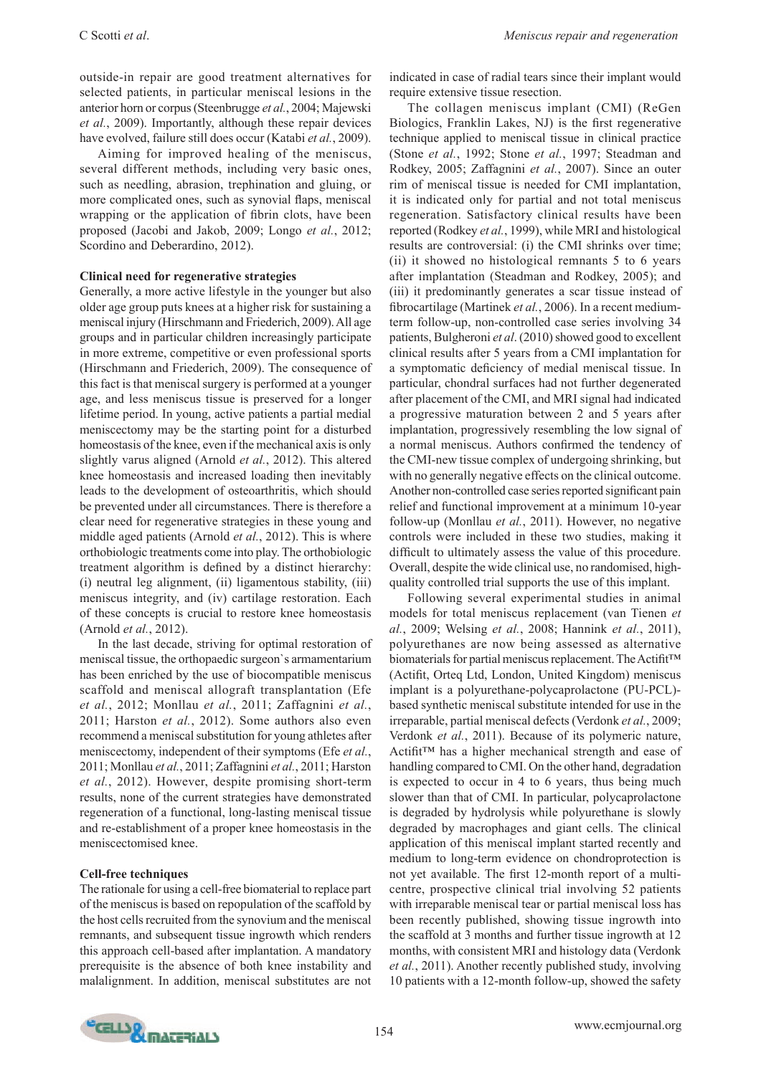outside-in repair are good treatment alternatives for selected patients, in particular meniscal lesions in the anterior horn or corpus (Steenbrugge *et al.*, 2004; Majewski *et al.*, 2009). Importantly, although these repair devices have evolved, failure still does occur (Katabi *et al.*, 2009).

Aiming for improved healing of the meniscus, several different methods, including very basic ones, such as needling, abrasion, trephination and gluing, or more complicated ones, such as synovial flaps, meniscal wrapping or the application of fibrin clots, have been proposed (Jacobi and Jakob, 2009; Longo *et al.*, 2012; Scordino and Deberardino, 2012).

# **Clinical need for regenerative strategies**

Generally, a more active lifestyle in the younger but also older age group puts knees at a higher risk for sustaining a meniscal injury (Hirschmann and Friederich, 2009). All age groups and in particular children increasingly participate in more extreme, competitive or even professional sports (Hirschmann and Friederich, 2009). The consequence of this fact is that meniscal surgery is performed at a younger age, and less meniscus tissue is preserved for a longer lifetime period. In young, active patients a partial medial meniscectomy may be the starting point for a disturbed homeostasis of the knee, even if the mechanical axis is only slightly varus aligned (Arnold *et al.*, 2012). This altered knee homeostasis and increased loading then inevitably leads to the development of osteoarthritis, which should be prevented under all circumstances. There is therefore a clear need for regenerative strategies in these young and middle aged patients (Arnold *et al.*, 2012). This is where orthobiologic treatments come into play. The orthobiologic treatment algorithm is defined by a distinct hierarchy: (i) neutral leg alignment, (ii) ligamentous stability, (iii) meniscus integrity, and (iv) cartilage restoration. Each of these concepts is crucial to restore knee homeostasis (Arnold *et al.*, 2012).

In the last decade, striving for optimal restoration of meniscal tissue, the orthopaedic surgeon`s armamentarium has been enriched by the use of biocompatible meniscus scaffold and meniscal allograft transplantation (Efe *et al.*, 2012; Monllau *et al.*, 2011; Zaffagnini *et al.*, 2011; Harston *et al.*, 2012). Some authors also even recommend a meniscal substitution for young athletes after meniscectomy, independent of their symptoms (Efe *et al.*, 2011; Monllau *et al.*, 2011; Zaffagnini *et al.*, 2011; Harston *et al.*, 2012). However, despite promising short-term results, none of the current strategies have demonstrated regeneration of a functional, long-lasting meniscal tissue and re-establishment of a proper knee homeostasis in the meniscectomised knee.

#### **Cell-free techniques**

The rationale for using a cell-free biomaterial to replace part of the meniscus is based on repopulation of the scaffold by the host cells recruited from the synovium and the meniscal remnants, and subsequent tissue ingrowth which renders this approach cell-based after implantation. A mandatory prerequisite is the absence of both knee instability and malalignment. In addition, meniscal substitutes are not

indicated in case of radial tears since their implant would require extensive tissue resection.

The collagen meniscus implant (CMI) (ReGen Biologics, Franklin Lakes, NJ) is the first regenerative technique applied to meniscal tissue in clinical practice (Stone *et al.*, 1992; Stone *et al.*, 1997; Steadman and Rodkey, 2005; Zaffagnini *et al.*, 2007). Since an outer rim of meniscal tissue is needed for CMI implantation, it is indicated only for partial and not total meniscus regeneration. Satisfactory clinical results have been reported (Rodkey *et al.*, 1999), while MRI and histological results are controversial: (i) the CMI shrinks over time; (ii) it showed no histological remnants 5 to 6 years after implantation (Steadman and Rodkey, 2005); and (iii) it predominantly generates a scar tissue instead of fibrocartilage (Martinek *et al.*, 2006). In a recent mediumterm follow-up, non-controlled case series involving 34 patients, Bulgheroni *et al*. (2010) showed good to excellent clinical results after 5 years from a CMI implantation for a symptomatic deficiency of medial meniscal tissue. In particular, chondral surfaces had not further degenerated after placement of the CMI, and MRI signal had indicated a progressive maturation between 2 and 5 years after implantation, progressively resembling the low signal of a normal meniscus. Authors confirmed the tendency of the CMI-new tissue complex of undergoing shrinking, but with no generally negative effects on the clinical outcome. Another non-controlled case series reported significant pain relief and functional improvement at a minimum 10-year follow-up (Monllau *et al.*, 2011). However, no negative controls were included in these two studies, making it difficult to ultimately assess the value of this procedure. Overall, despite the wide clinical use, no randomised, highquality controlled trial supports the use of this implant.

Following several experimental studies in animal models for total meniscus replacement (van Tienen *et al.*, 2009; Welsing *et al.*, 2008; Hannink *et al.*, 2011), polyurethanes are now being assessed as alternative biomaterials for partial meniscus replacement. The Actifit™ (Actifit, Orteq Ltd, London, United Kingdom) meniscus implant is a polyurethane-polycaprolactone (PU-PCL) based synthetic meniscal substitute intended for use in the irreparable, partial meniscal defects (Verdonk *et al.*, 2009; Verdonk *et al.*, 2011). Because of its polymeric nature, Actifit™ has a higher mechanical strength and ease of handling compared to CMI. On the other hand, degradation is expected to occur in 4 to 6 years, thus being much slower than that of CMI. In particular, polycaprolactone is degraded by hydrolysis while polyurethane is slowly degraded by macrophages and giant cells. The clinical application of this meniscal implant started recently and medium to long-term evidence on chondroprotection is not yet available. The first 12-month report of a multicentre, prospective clinical trial involving 52 patients with irreparable meniscal tear or partial meniscal loss has been recently published, showing tissue ingrowth into the scaffold at 3 months and further tissue ingrowth at 12 months, with consistent MRI and histology data (Verdonk *et al.*, 2011). Another recently published study, involving 10 patients with a 12-month follow-up, showed the safety

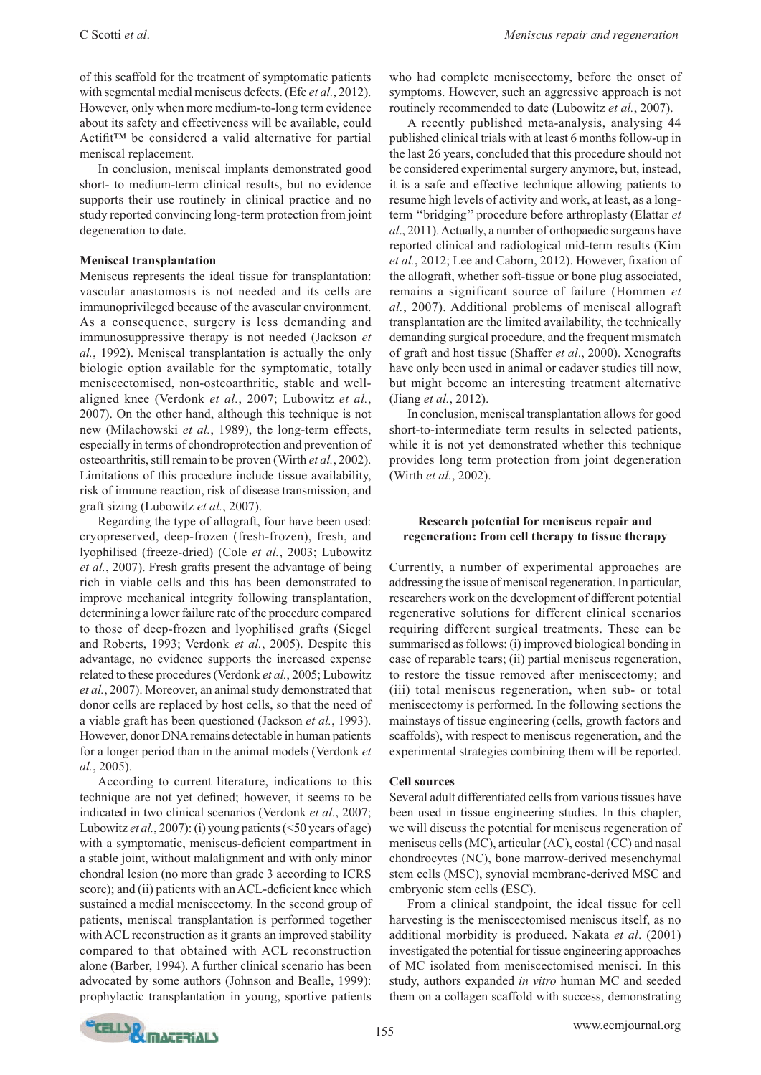of this scaffold for the treatment of symptomatic patients with segmental medial meniscus defects. (Efe *et al.*, 2012). However, only when more medium-to-long term evidence about its safety and effectiveness will be available, could Actifit™ be considered a valid alternative for partial meniscal replacement.

In conclusion, meniscal implants demonstrated good short- to medium-term clinical results, but no evidence supports their use routinely in clinical practice and no study reported convincing long-term protection from joint degeneration to date.

#### **Meniscal transplantation**

Meniscus represents the ideal tissue for transplantation: vascular anastomosis is not needed and its cells are immunoprivileged because of the avascular environment. As a consequence, surgery is less demanding and immunosuppressive therapy is not needed (Jackson *et al.*, 1992). Meniscal transplantation is actually the only biologic option available for the symptomatic, totally meniscectomised, non-osteoarthritic, stable and wellaligned knee (Verdonk *et al.*, 2007; Lubowitz *et al.*, 2007). On the other hand, although this technique is not new (Milachowski *et al.*, 1989), the long-term effects, especially in terms of chondroprotection and prevention of osteoarthritis, still remain to be proven (Wirth *et al.*, 2002). Limitations of this procedure include tissue availability, risk of immune reaction, risk of disease transmission, and graft sizing (Lubowitz *et al.*, 2007).

Regarding the type of allograft, four have been used: cryopreserved, deep-frozen (fresh-frozen), fresh, and lyophilised (freeze-dried) (Cole *et al.*, 2003; Lubowitz *et al.*, 2007). Fresh grafts present the advantage of being rich in viable cells and this has been demonstrated to improve mechanical integrity following transplantation, determining a lower failure rate of the procedure compared to those of deep-frozen and lyophilised grafts (Siegel and Roberts, 1993; Verdonk *et al.*, 2005). Despite this advantage, no evidence supports the increased expense related to these procedures (Verdonk *et al.*, 2005; Lubowitz *et al.*, 2007). Moreover, an animal study demonstrated that donor cells are replaced by host cells, so that the need of a viable graft has been questioned (Jackson *et al.*, 1993). However, donor DNA remains detectable in human patients for a longer period than in the animal models (Verdonk *et al.*, 2005).

According to current literature, indications to this technique are not yet defined; however, it seems to be indicated in two clinical scenarios (Verdonk *et al.*, 2007; Lubowitz *et al.*, 2007): (i) young patients (<50 years of age) with a symptomatic, meniscus-deficient compartment in a stable joint, without malalignment and with only minor chondral lesion (no more than grade 3 according to ICRS score); and (ii) patients with an ACL-deficient knee which sustained a medial meniscectomy. In the second group of patients, meniscal transplantation is performed together with ACL reconstruction as it grants an improved stability compared to that obtained with ACL reconstruction alone (Barber, 1994). A further clinical scenario has been advocated by some authors (Johnson and Bealle, 1999): prophylactic transplantation in young, sportive patients

who had complete meniscectomy, before the onset of symptoms. However, such an aggressive approach is not routinely recommended to date (Lubowitz *et al.*, 2007).

A recently published meta-analysis, analysing 44 published clinical trials with at least 6 months follow-up in the last 26 years, concluded that this procedure should not be considered experimental surgery anymore, but, instead, it is a safe and effective technique allowing patients to resume high levels of activity and work, at least, as a longterm ''bridging'' procedure before arthroplasty (Elattar *et al*., 2011). Actually, a number of orthopaedic surgeons have reported clinical and radiological mid-term results (Kim *et al.*, 2012; Lee and Caborn, 2012). However, fixation of the allograft, whether soft-tissue or bone plug associated, remains a significant source of failure (Hommen *et al.*, 2007). Additional problems of meniscal allograft transplantation are the limited availability, the technically demanding surgical procedure, and the frequent mismatch of graft and host tissue (Shaffer *et al*., 2000). Xenografts have only been used in animal or cadaver studies till now, but might become an interesting treatment alternative (Jiang *et al.*, 2012).

In conclusion, meniscal transplantation allows for good short-to-intermediate term results in selected patients, while it is not yet demonstrated whether this technique provides long term protection from joint degeneration (Wirth *et al.*, 2002).

# **Research potential for meniscus repair and regeneration: from cell therapy to tissue therapy**

Currently, a number of experimental approaches are addressing the issue of meniscal regeneration. In particular, researchers work on the development of different potential regenerative solutions for different clinical scenarios requiring different surgical treatments. These can be summarised as follows: (i) improved biological bonding in case of reparable tears; (ii) partial meniscus regeneration, to restore the tissue removed after meniscectomy; and (iii) total meniscus regeneration, when sub- or total meniscectomy is performed. In the following sections the mainstays of tissue engineering (cells, growth factors and scaffolds), with respect to meniscus regeneration, and the experimental strategies combining them will be reported.

# **Cell sources**

Several adult differentiated cells from various tissues have been used in tissue engineering studies. In this chapter, we will discuss the potential for meniscus regeneration of meniscus cells (MC), articular (AC), costal (CC) and nasal chondrocytes (NC), bone marrow-derived mesenchymal stem cells (MSC), synovial membrane-derived MSC and embryonic stem cells (ESC).

From a clinical standpoint, the ideal tissue for cell harvesting is the meniscectomised meniscus itself, as no additional morbidity is produced. Nakata *et al*. (2001) investigated the potential for tissue engineering approaches of MC isolated from meniscectomised menisci. In this study, authors expanded *in vitro* human MC and seeded them on a collagen scaffold with success, demonstrating

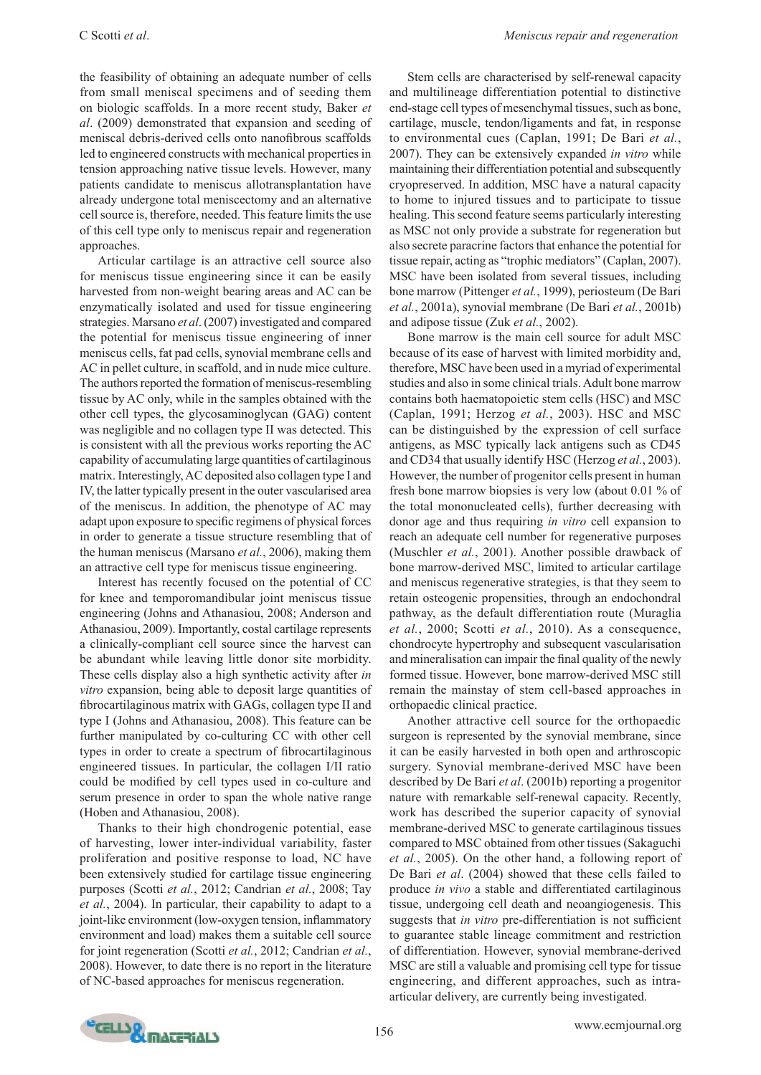the feasibility of obtaining an adequate number of cells from small meniscal specimens and of seeding them on biologic scaffolds. In a more recent study, Baker *et al*. (2009) demonstrated that expansion and seeding of meniscal debris-derived cells onto nanofibrous scaffolds led to engineered constructs with mechanical properties in tension approaching native tissue levels. However, many patients candidate to meniscus allotransplantation have already undergone total meniscectomy and an alternative cell source is, therefore, needed. This feature limits the use of this cell type only to meniscus repair and regeneration approaches.

Articular cartilage is an attractive cell source also for meniscus tissue engineering since it can be easily harvested from non-weight bearing areas and AC can be enzymatically isolated and used for tissue engineering strategies. Marsano *et al*. (2007) investigated and compared the potential for meniscus tissue engineering of inner meniscus cells, fat pad cells, synovial membrane cells and AC in pellet culture, in scaffold, and in nude mice culture. The authors reported the formation of meniscus-resembling tissue by AC only, while in the samples obtained with the other cell types, the glycosaminoglycan (GAG) content was negligible and no collagen type II was detected. This is consistent with all the previous works reporting the AC capability of accumulating large quantities of cartilaginous matrix. Interestingly, AC deposited also collagen type I and IV, the latter typically present in the outer vascularised area of the meniscus. In addition, the phenotype of AC may adapt upon exposure to specific regimens of physical forces in order to generate a tissue structure resembling that of the human meniscus (Marsano *et al.*, 2006), making them an attractive cell type for meniscus tissue engineering.

Interest has recently focused on the potential of CC for knee and temporomandibular joint meniscus tissue engineering (Johns and Athanasiou, 2008; Anderson and Athanasiou, 2009). Importantly, costal cartilage represents a clinically-compliant cell source since the harvest can be abundant while leaving little donor site morbidity. These cells display also a high synthetic activity after *in vitro* expansion, being able to deposit large quantities of fibrocartilaginous matrix with GAGs, collagen type II and type I (Johns and Athanasiou, 2008). This feature can be further manipulated by co-culturing CC with other cell types in order to create a spectrum of fibrocartilaginous engineered tissues. In particular, the collagen I/II ratio could be modified by cell types used in co-culture and serum presence in order to span the whole native range (Hoben and Athanasiou, 2008).

Thanks to their high chondrogenic potential, ease of harvesting, lower inter-individual variability, faster proliferation and positive response to load, NC have been extensively studied for cartilage tissue engineering purposes (Scotti *et al.*, 2012; Candrian *et al.*, 2008; Tay *et al.*, 2004). In particular, their capability to adapt to a joint-like environment (low-oxygen tension, inflammatory environment and load) makes them a suitable cell source for joint regeneration (Scotti *et al.*, 2012; Candrian *et al.*, 2008). However, to date there is no report in the literature of NC-based approaches for meniscus regeneration.

Stem cells are characterised by self-renewal capacity and multilineage differentiation potential to distinctive end-stage cell types of mesenchymal tissues, such as bone, cartilage, muscle, tendon/ligaments and fat, in response to environmental cues (Caplan, 1991; De Bari *et al.*, 2007). They can be extensively expanded *in vitro* while maintaining their differentiation potential and subsequently cryopreserved. In addition, MSC have a natural capacity to home to injured tissues and to participate to tissue healing. This second feature seems particularly interesting as MSC not only provide a substrate for regeneration but also secrete paracrine factors that enhance the potential for tissue repair, acting as "trophic mediators" (Caplan, 2007). MSC have been isolated from several tissues, including bone marrow (Pittenger *et al.*, 1999), periosteum (De Bari *et al.*, 2001a), synovial membrane (De Bari *et al.*, 2001b) and adipose tissue (Zuk *et al.*, 2002).

Bone marrow is the main cell source for adult MSC because of its ease of harvest with limited morbidity and, therefore, MSC have been used in a myriad of experimental studies and also in some clinical trials. Adult bone marrow contains both haematopoietic stem cells (HSC) and MSC (Caplan, 1991; Herzog *et al.*, 2003). HSC and MSC can be distinguished by the expression of cell surface antigens, as MSC typically lack antigens such as CD45 and CD34 that usually identify HSC (Herzog *et al.*, 2003). However, the number of progenitor cells present in human fresh bone marrow biopsies is very low (about 0.01 % of the total mononucleated cells), further decreasing with donor age and thus requiring *in vitro* cell expansion to reach an adequate cell number for regenerative purposes (Muschler *et al.*, 2001). Another possible drawback of bone marrow-derived MSC, limited to articular cartilage and meniscus regenerative strategies, is that they seem to retain osteogenic propensities, through an endochondral pathway, as the default differentiation route (Muraglia *et al.*, 2000; Scotti *et al.*, 2010). As a consequence, chondrocyte hypertrophy and subsequent vascularisation and mineralisation can impair the final quality of the newly formed tissue. However, bone marrow-derived MSC still remain the mainstay of stem cell-based approaches in orthopaedic clinical practice.

Another attractive cell source for the orthopaedic surgeon is represented by the synovial membrane, since it can be easily harvested in both open and arthroscopic surgery. Synovial membrane-derived MSC have been described by De Bari *et al*. (2001b) reporting a progenitor nature with remarkable self-renewal capacity. Recently, work has described the superior capacity of synovial membrane-derived MSC to generate cartilaginous tissues compared to MSC obtained from other tissues (Sakaguchi *et al.*, 2005). On the other hand, a following report of De Bari *et al*. (2004) showed that these cells failed to produce *in vivo* a stable and differentiated cartilaginous tissue, undergoing cell death and neoangiogenesis. This suggests that *in vitro* pre-differentiation is not sufficient to guarantee stable lineage commitment and restriction of differentiation. However, synovial membrane-derived MSC are still a valuable and promising cell type for tissue engineering, and different approaches, such as intraarticular delivery, are currently being investigated.

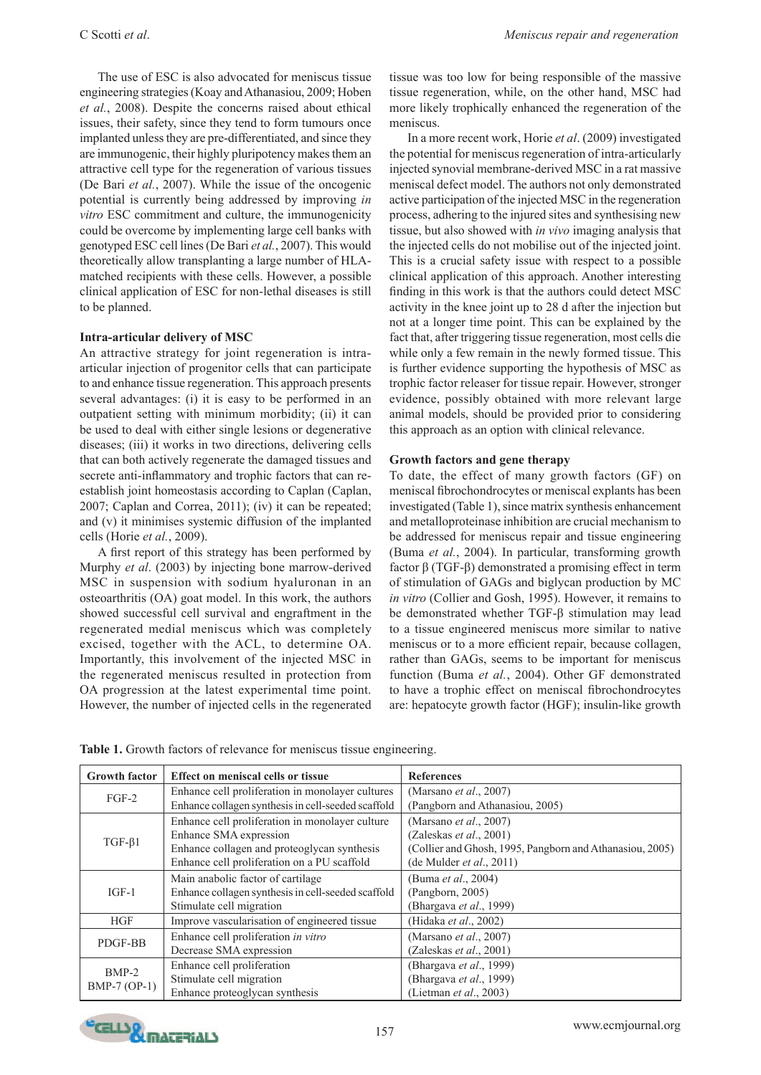The use of ESC is also advocated for meniscus tissue engineering strategies (Koay and Athanasiou, 2009; Hoben *et al.*, 2008). Despite the concerns raised about ethical issues, their safety, since they tend to form tumours once implanted unless they are pre-differentiated, and since they are immunogenic, their highly pluripotency makes them an attractive cell type for the regeneration of various tissues (De Bari *et al.*, 2007). While the issue of the oncogenic potential is currently being addressed by improving *in vitro* ESC commitment and culture, the immunogenicity could be overcome by implementing large cell banks with genotyped ESC cell lines (De Bari *et al.*, 2007). This would theoretically allow transplanting a large number of HLAmatched recipients with these cells. However, a possible clinical application of ESC for non-lethal diseases is still to be planned.

# **Intra-articular delivery of MSC**

An attractive strategy for joint regeneration is intraarticular injection of progenitor cells that can participate to and enhance tissue regeneration. This approach presents several advantages: (i) it is easy to be performed in an outpatient setting with minimum morbidity; (ii) it can be used to deal with either single lesions or degenerative diseases; (iii) it works in two directions, delivering cells that can both actively regenerate the damaged tissues and secrete anti-inflammatory and trophic factors that can reestablish joint homeostasis according to Caplan (Caplan, 2007; Caplan and Correa, 2011); (iv) it can be repeated; and (v) it minimises systemic diffusion of the implanted cells (Horie *et al.*, 2009).

A first report of this strategy has been performed by Murphy *et al*. (2003) by injecting bone marrow-derived MSC in suspension with sodium hyaluronan in an osteoarthritis (OA) goat model. In this work, the authors showed successful cell survival and engraftment in the regenerated medial meniscus which was completely excised, together with the ACL, to determine OA. Importantly, this involvement of the injected MSC in the regenerated meniscus resulted in protection from OA progression at the latest experimental time point. However, the number of injected cells in the regenerated

tissue was too low for being responsible of the massive tissue regeneration, while, on the other hand, MSC had more likely trophically enhanced the regeneration of the meniscus.

In a more recent work, Horie *et al*. (2009) investigated the potential for meniscus regeneration of intra-articularly injected synovial membrane-derived MSC in a rat massive meniscal defect model. The authors not only demonstrated active participation of the injected MSC in the regeneration process, adhering to the injured sites and synthesising new tissue, but also showed with *in vivo* imaging analysis that the injected cells do not mobilise out of the injected joint. This is a crucial safety issue with respect to a possible clinical application of this approach. Another interesting finding in this work is that the authors could detect MSC activity in the knee joint up to 28 d after the injection but not at a longer time point. This can be explained by the fact that, after triggering tissue regeneration, most cells die while only a few remain in the newly formed tissue. This is further evidence supporting the hypothesis of MSC as trophic factor releaser for tissue repair. However, stronger evidence, possibly obtained with more relevant large animal models, should be provided prior to considering this approach as an option with clinical relevance.

# **Growth factors and gene therapy**

To date, the effect of many growth factors (GF) on meniscal fibrochondrocytes or meniscal explants has been investigated (Table 1), since matrix synthesis enhancement and metalloproteinase inhibition are crucial mechanism to be addressed for meniscus repair and tissue engineering (Buma *et al.*, 2004). In particular, transforming growth factor β (TGF-β) demonstrated a promising effect in term of stimulation of GAGs and biglycan production by MC *in vitro* (Collier and Gosh, 1995). However, it remains to be demonstrated whether TGF-β stimulation may lead to a tissue engineered meniscus more similar to native meniscus or to a more efficient repair, because collagen, rather than GAGs, seems to be important for meniscus function (Buma *et al.*, 2004). Other GF demonstrated to have a trophic effect on meniscal fibrochondrocytes are: hepatocyte growth factor (HGF); insulin-like growth

| <b>Growth factor</b>      | Effect on meniscal cells or tissue                 | <b>References</b>                                        |
|---------------------------|----------------------------------------------------|----------------------------------------------------------|
| $FGF-2$                   | Enhance cell proliferation in monolayer cultures   | (Marsano <i>et al.</i> , 2007)                           |
|                           | Enhance collagen synthesis in cell-seeded scaffold | (Pangborn and Athanasiou, 2005)                          |
| $TGF-\beta1$              | Enhance cell proliferation in monolayer culture    | (Marsano <i>et al.</i> , 2007)                           |
|                           | Enhance SMA expression                             | (Zaleskas et al., 2001)                                  |
|                           | Enhance collagen and proteoglycan synthesis        | (Collier and Ghosh, 1995, Pangborn and Athanasiou, 2005) |
|                           | Enhance cell proliferation on a PU scaffold        | (de Mulder <i>et al.</i> , 2011)                         |
| $IGF-1$                   | Main anabolic factor of cartilage                  | (Buma et al., 2004)                                      |
|                           | Enhance collagen synthesis in cell-seeded scaffold | (Pangborn, 2005)                                         |
|                           | Stimulate cell migration                           | (Bhargava et al., 1999)                                  |
| HGF                       | Improve vascularisation of engineered tissue       | (Hidaka et al., 2002)                                    |
| PDGF-BB                   | Enhance cell proliferation in vitro                | (Marsano et al., 2007)                                   |
|                           | Decrease SMA expression                            | (Zaleskas <i>et al.</i> , 2001)                          |
| $BMP-2$<br>$BMP-7 (OP-1)$ | Enhance cell proliferation                         | (Bhargava et al., 1999)                                  |
|                           | Stimulate cell migration                           | (Bhargava et al., 1999)                                  |
|                           | Enhance proteoglycan synthesis                     | (Lietman <i>et al.</i> , 2003)                           |

**Table 1.** Growth factors of relevance for meniscus tissue engineering.

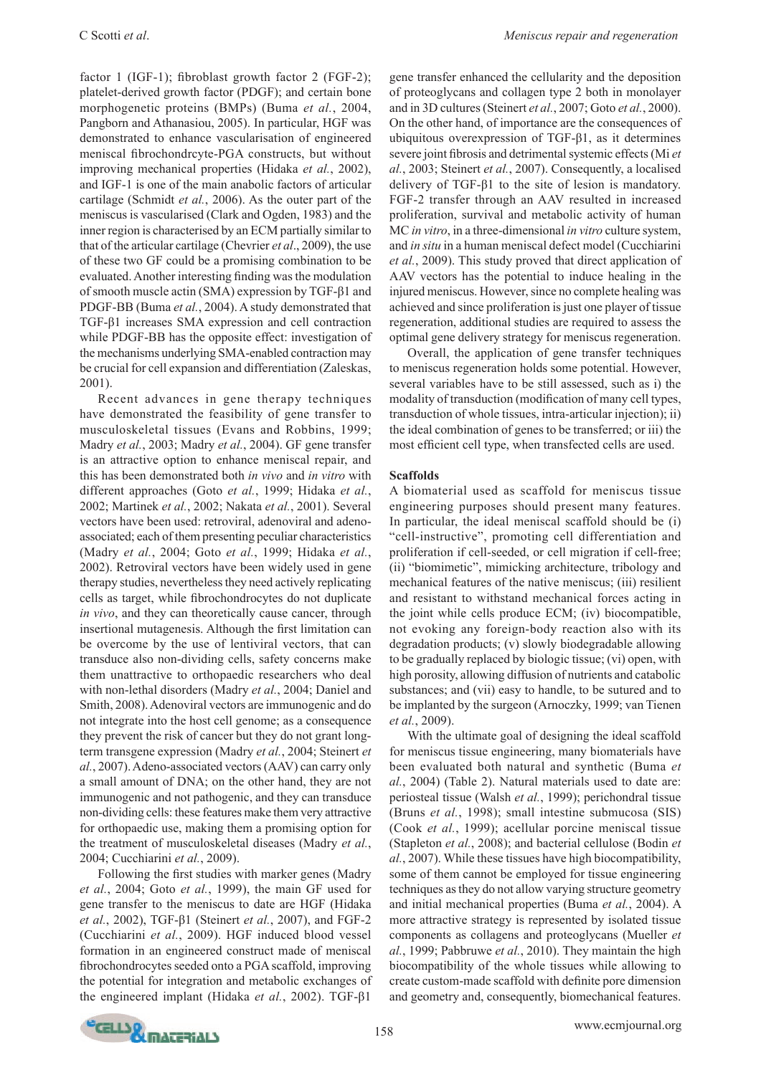factor 1 (IGF-1); fibroblast growth factor 2 (FGF-2); platelet-derived growth factor (PDGF); and certain bone morphogenetic proteins (BMPs) (Buma *et al.*, 2004, Pangborn and Athanasiou, 2005). In particular, HGF was demonstrated to enhance vascularisation of engineered meniscal fibrochondrcyte-PGA constructs, but without improving mechanical properties (Hidaka *et al.*, 2002), and IGF-1 is one of the main anabolic factors of articular cartilage (Schmidt *et al.*, 2006). As the outer part of the meniscus is vascularised (Clark and Ogden, 1983) and the inner region is characterised by an ECM partially similar to that of the articular cartilage (Chevrier *et al*., 2009), the use of these two GF could be a promising combination to be evaluated. Another interesting finding was the modulation of smooth muscle actin (SMA) expression by TGF-β1 and PDGF-BB (Buma *et al.*, 2004). A study demonstrated that TGF-β1 increases SMA expression and cell contraction while PDGF-BB has the opposite effect: investigation of the mechanisms underlying SMA-enabled contraction may be crucial for cell expansion and differentiation (Zaleskas, 2001).

Recent advances in gene therapy techniques have demonstrated the feasibility of gene transfer to musculoskeletal tissues (Evans and Robbins, 1999; Madry *et al.*, 2003; Madry *et al.*, 2004). GF gene transfer is an attractive option to enhance meniscal repair, and this has been demonstrated both *in vivo* and *in vitro* with different approaches (Goto *et al.*, 1999; Hidaka *et al.*, 2002; Martinek *et al.*, 2002; Nakata *et al.*, 2001). Several vectors have been used: retroviral, adenoviral and adenoassociated; each of them presenting peculiar characteristics (Madry *et al.*, 2004; Goto *et al.*, 1999; Hidaka *et al.*, 2002). Retroviral vectors have been widely used in gene therapy studies, nevertheless they need actively replicating cells as target, while fibrochondrocytes do not duplicate *in vivo*, and they can theoretically cause cancer, through insertional mutagenesis. Although the first limitation can be overcome by the use of lentiviral vectors, that can transduce also non-dividing cells, safety concerns make them unattractive to orthopaedic researchers who deal with non-lethal disorders (Madry *et al.*, 2004; Daniel and Smith, 2008). Adenoviral vectors are immunogenic and do not integrate into the host cell genome; as a consequence they prevent the risk of cancer but they do not grant longterm transgene expression (Madry *et al.*, 2004; Steinert *et al.*, 2007). Adeno-associated vectors (AAV) can carry only a small amount of DNA; on the other hand, they are not immunogenic and not pathogenic, and they can transduce non-dividing cells: these features make them very attractive for orthopaedic use, making them a promising option for the treatment of musculoskeletal diseases (Madry *et al.*, 2004; Cucchiarini *et al.*, 2009).

Following the first studies with marker genes (Madry *et al.*, 2004; Goto *et al.*, 1999), the main GF used for gene transfer to the meniscus to date are HGF (Hidaka *et al.*, 2002), TGF-β1 (Steinert *et al.*, 2007), and FGF-2 (Cucchiarini *et al.*, 2009). HGF induced blood vessel formation in an engineered construct made of meniscal fibrochondrocytes seeded onto a PGA scaffold, improving the potential for integration and metabolic exchanges of the engineered implant (Hidaka *et al.*, 2002). TGF-β1

gene transfer enhanced the cellularity and the deposition of proteoglycans and collagen type 2 both in monolayer and in 3D cultures (Steinert *et al.*, 2007; Goto *et al.*, 2000). On the other hand, of importance are the consequences of ubiquitous overexpression of TGF-β1, as it determines severe joint fibrosis and detrimental systemic effects (Mi *et al.*, 2003; Steinert *et al.*, 2007). Consequently, a localised delivery of TGF-β1 to the site of lesion is mandatory. FGF-2 transfer through an AAV resulted in increased proliferation, survival and metabolic activity of human MC *in vitro*, in a three-dimensional *in vitro* culture system, and *in situ* in a human meniscal defect model (Cucchiarini *et al.*, 2009). This study proved that direct application of AAV vectors has the potential to induce healing in the injured meniscus. However, since no complete healing was achieved and since proliferation is just one player of tissue regeneration, additional studies are required to assess the optimal gene delivery strategy for meniscus regeneration.

Overall, the application of gene transfer techniques to meniscus regeneration holds some potential. However, several variables have to be still assessed, such as i) the modality of transduction (modification of many cell types, transduction of whole tissues, intra-articular injection); ii) the ideal combination of genes to be transferred; or iii) the most efficient cell type, when transfected cells are used.

# **Scaffolds**

A biomaterial used as scaffold for meniscus tissue engineering purposes should present many features. In particular, the ideal meniscal scaffold should be (i) "cell-instructive", promoting cell differentiation and proliferation if cell-seeded, or cell migration if cell-free; (ii) "biomimetic", mimicking architecture, tribology and mechanical features of the native meniscus; (iii) resilient and resistant to withstand mechanical forces acting in the joint while cells produce ECM; (iv) biocompatible, not evoking any foreign-body reaction also with its degradation products; (v) slowly biodegradable allowing to be gradually replaced by biologic tissue; (vi) open, with high porosity, allowing diffusion of nutrients and catabolic substances; and (vii) easy to handle, to be sutured and to be implanted by the surgeon (Arnoczky, 1999; van Tienen *et al.*, 2009).

With the ultimate goal of designing the ideal scaffold for meniscus tissue engineering, many biomaterials have been evaluated both natural and synthetic (Buma *et al.*, 2004) (Table 2). Natural materials used to date are: periosteal tissue (Walsh *et al.*, 1999); perichondral tissue (Bruns *et al.*, 1998); small intestine submucosa (SIS) (Cook *et al.*, 1999); acellular porcine meniscal tissue (Stapleton *et al.*, 2008); and bacterial cellulose (Bodin *et al.*, 2007). While these tissues have high biocompatibility, some of them cannot be employed for tissue engineering techniques as they do not allow varying structure geometry and initial mechanical properties (Buma *et al.*, 2004). A more attractive strategy is represented by isolated tissue components as collagens and proteoglycans (Mueller *et al.*, 1999; Pabbruwe *et al.*, 2010). They maintain the high biocompatibility of the whole tissues while allowing to create custom-made scaffold with definite pore dimension and geometry and, consequently, biomechanical features.

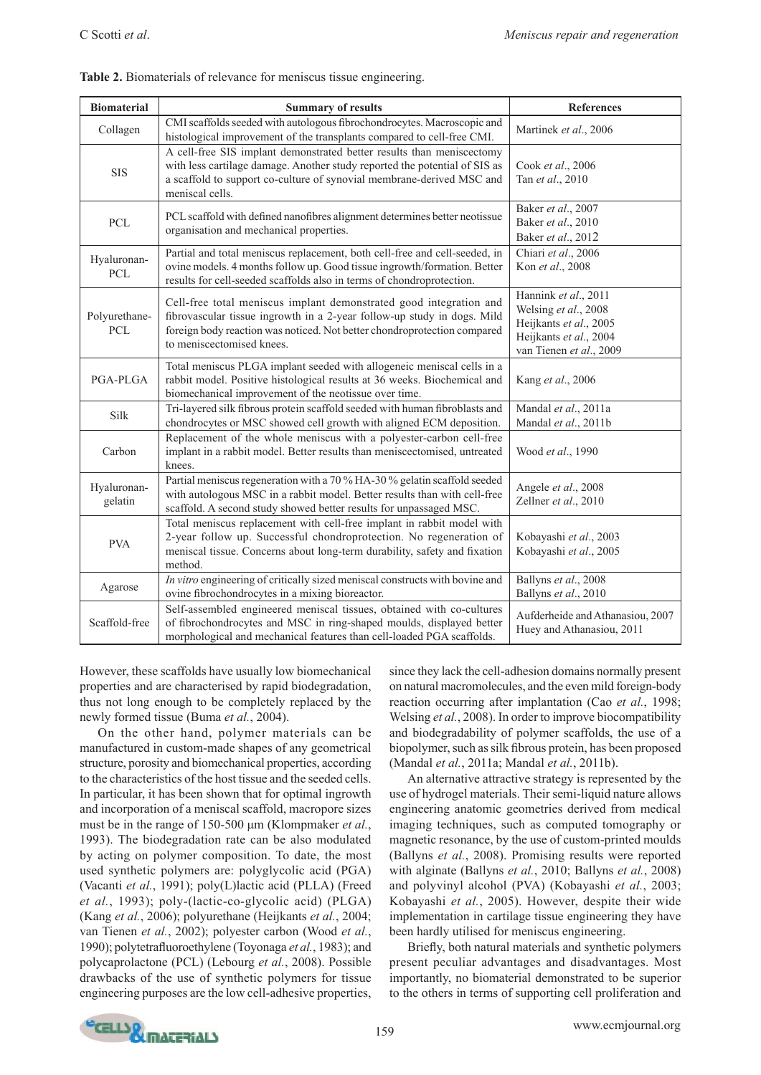| <b>Biomaterial</b>        | <b>Summary of results</b>                                                                                                                                                                                                                              | References                                                                                                                  |
|---------------------------|--------------------------------------------------------------------------------------------------------------------------------------------------------------------------------------------------------------------------------------------------------|-----------------------------------------------------------------------------------------------------------------------------|
| Collagen                  | CMI scaffolds seeded with autologous fibrochondrocytes. Macroscopic and<br>histological improvement of the transplants compared to cell-free CMI.                                                                                                      | Martinek et al., 2006                                                                                                       |
| <b>SIS</b>                | A cell-free SIS implant demonstrated better results than meniscectomy<br>with less cartilage damage. Another study reported the potential of SIS as<br>a scaffold to support co-culture of synovial membrane-derived MSC and<br>meniscal cells.        | Cook et al., 2006<br>Tan et al., 2010                                                                                       |
| PCL                       | PCL scaffold with defined nanofibres alignment determines better neotissue<br>organisation and mechanical properties.                                                                                                                                  | Baker et al., 2007<br>Baker et al., 2010<br>Baker et al., 2012                                                              |
| Hyaluronan-<br><b>PCL</b> | Partial and total meniscus replacement, both cell-free and cell-seeded, in<br>ovine models. 4 months follow up. Good tissue ingrowth/formation. Better<br>results for cell-seeded scaffolds also in terms of chondroprotection.                        | Chiari et al., 2006<br>Kon et al., 2008                                                                                     |
| Polyurethane-<br>PCL      | Cell-free total meniscus implant demonstrated good integration and<br>fibrovascular tissue ingrowth in a 2-year follow-up study in dogs. Mild<br>foreign body reaction was noticed. Not better chondroprotection compared<br>to meniscectomised knees. | Hannink et al., 2011<br>Welsing et al., 2008<br>Heijkants et al., 2005<br>Heijkants et al., 2004<br>van Tienen et al., 2009 |
| PGA-PLGA                  | Total meniscus PLGA implant seeded with allogeneic meniscal cells in a<br>rabbit model. Positive histological results at 36 weeks. Biochemical and<br>biomechanical improvement of the neotissue over time.                                            | Kang et al., 2006                                                                                                           |
| Silk                      | Tri-layered silk fibrous protein scaffold seeded with human fibroblasts and<br>chondrocytes or MSC showed cell growth with aligned ECM deposition.                                                                                                     | Mandal et al., 2011a<br>Mandal et al., 2011b                                                                                |
| Carbon                    | Replacement of the whole meniscus with a polyester-carbon cell-free<br>implant in a rabbit model. Better results than meniscectomised, untreated<br>knees.                                                                                             | Wood et al., 1990                                                                                                           |
| Hyaluronan-<br>gelatin    | Partial meniscus regeneration with a 70 % HA-30 % gelatin scaffold seeded<br>with autologous MSC in a rabbit model. Better results than with cell-free<br>scaffold. A second study showed better results for unpassaged MSC.                           | Angele et al., 2008<br>Zellner et al., 2010                                                                                 |
| <b>PVA</b>                | Total meniscus replacement with cell-free implant in rabbit model with<br>2-year follow up. Successful chondroprotection. No regeneration of<br>meniscal tissue. Concerns about long-term durability, safety and fixation<br>method.                   | Kobayashi et al., 2003<br>Kobayashi et al., 2005                                                                            |
| Agarose                   | In vitro engineering of critically sized meniscal constructs with bovine and<br>ovine fibrochondrocytes in a mixing bioreactor.                                                                                                                        | Ballyns et al., 2008<br>Ballyns et al., 2010                                                                                |
| Scaffold-free             | Self-assembled engineered meniscal tissues, obtained with co-cultures<br>of fibrochondrocytes and MSC in ring-shaped moulds, displayed better<br>morphological and mechanical features than cell-loaded PGA scaffolds.                                 | Aufderheide and Athanasiou, 2007<br>Huey and Athanasiou, 2011                                                               |

**Table 2.** Biomaterials of relevance for meniscus tissue engineering.

However, these scaffolds have usually low biomechanical properties and are characterised by rapid biodegradation, thus not long enough to be completely replaced by the newly formed tissue (Buma *et al.*, 2004).

On the other hand, polymer materials can be manufactured in custom-made shapes of any geometrical structure, porosity and biomechanical properties, according to the characteristics of the host tissue and the seeded cells. In particular, it has been shown that for optimal ingrowth and incorporation of a meniscal scaffold, macropore sizes must be in the range of 150-500 μm (Klompmaker *et al.*, 1993). The biodegradation rate can be also modulated by acting on polymer composition. To date, the most used synthetic polymers are: polyglycolic acid (PGA) (Vacanti *et al.*, 1991); poly(L)lactic acid (PLLA) (Freed *et al.*, 1993); poly-(lactic-co-glycolic acid) (PLGA) (Kang *et al.*, 2006); polyurethane (Heijkants *et al.*, 2004; van Tienen *et al.*, 2002); polyester carbon (Wood *et al.*, 1990); polytetrafluoroethylene (Toyonaga *et al.*, 1983); and polycaprolactone (PCL) (Lebourg *et al.*, 2008). Possible drawbacks of the use of synthetic polymers for tissue engineering purposes are the low cell-adhesive properties, since they lack the cell-adhesion domains normally present on natural macromolecules, and the even mild foreign-body reaction occurring after implantation (Cao *et al.*, 1998; Welsing *et al.*, 2008). In order to improve biocompatibility and biodegradability of polymer scaffolds, the use of a biopolymer, such as silk fibrous protein, has been proposed (Mandal *et al.*, 2011a; Mandal *et al.*, 2011b).

An alternative attractive strategy is represented by the use of hydrogel materials. Their semi-liquid nature allows engineering anatomic geometries derived from medical imaging techniques, such as computed tomography or magnetic resonance, by the use of custom-printed moulds (Ballyns *et al.*, 2008). Promising results were reported with alginate (Ballyns *et al.*, 2010; Ballyns *et al.*, 2008) and polyvinyl alcohol (PVA) (Kobayashi *et al.*, 2003; Kobayashi *et al.*, 2005). However, despite their wide implementation in cartilage tissue engineering they have been hardly utilised for meniscus engineering.

Briefly, both natural materials and synthetic polymers present peculiar advantages and disadvantages. Most importantly, no biomaterial demonstrated to be superior to the others in terms of supporting cell proliferation and

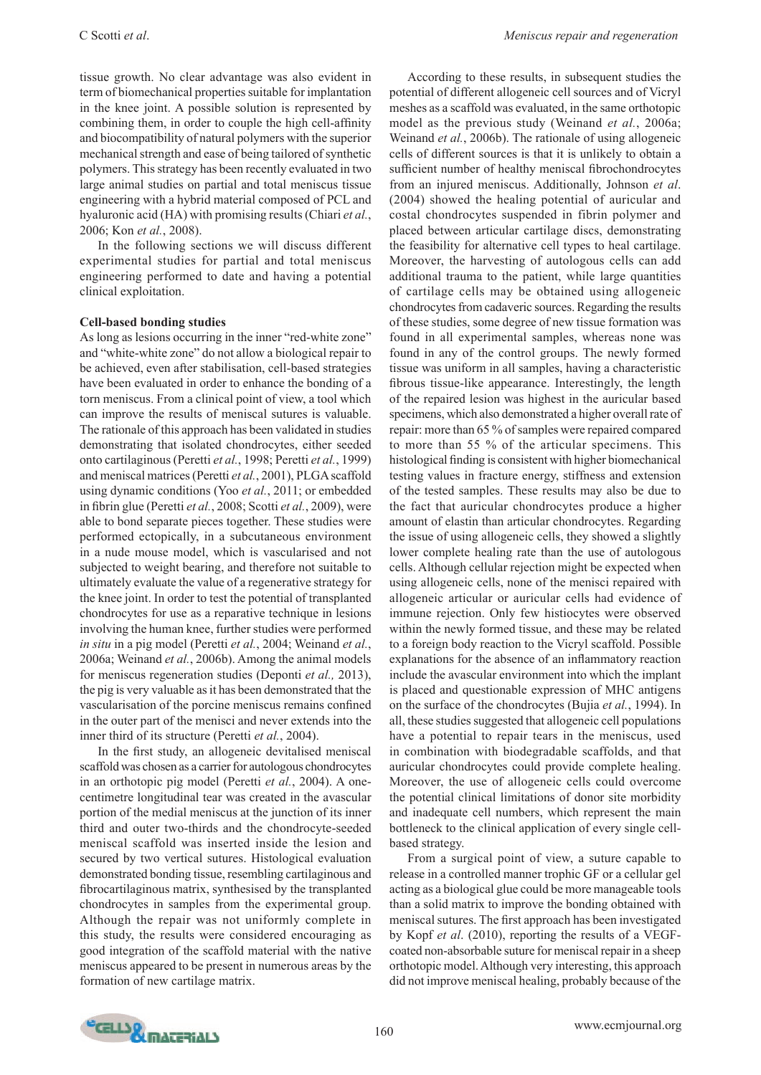tissue growth. No clear advantage was also evident in term of biomechanical properties suitable for implantation in the knee joint. A possible solution is represented by combining them, in order to couple the high cell-affinity and biocompatibility of natural polymers with the superior mechanical strength and ease of being tailored of synthetic polymers. This strategy has been recently evaluated in two large animal studies on partial and total meniscus tissue engineering with a hybrid material composed of PCL and hyaluronic acid (HA) with promising results (Chiari *et al.*, 2006; Kon *et al.*, 2008).

In the following sections we will discuss different experimental studies for partial and total meniscus engineering performed to date and having a potential clinical exploitation.

#### **Cell-based bonding studies**

As long as lesions occurring in the inner "red-white zone" and "white-white zone" do not allow a biological repair to be achieved, even after stabilisation, cell-based strategies have been evaluated in order to enhance the bonding of a torn meniscus. From a clinical point of view, a tool which can improve the results of meniscal sutures is valuable. The rationale of this approach has been validated in studies demonstrating that isolated chondrocytes, either seeded onto cartilaginous (Peretti *et al.*, 1998; Peretti *et al.*, 1999) and meniscal matrices (Peretti *et al.*, 2001), PLGA scaffold using dynamic conditions (Yoo *et al.*, 2011; or embedded in fibrin glue (Peretti *et al.*, 2008; Scotti *et al.*, 2009), were able to bond separate pieces together. These studies were performed ectopically, in a subcutaneous environment in a nude mouse model, which is vascularised and not subjected to weight bearing, and therefore not suitable to ultimately evaluate the value of a regenerative strategy for the knee joint. In order to test the potential of transplanted chondrocytes for use as a reparative technique in lesions involving the human knee, further studies were performed *in situ* in a pig model (Peretti *et al.*, 2004; Weinand *et al.*, 2006a; Weinand *et al.*, 2006b). Among the animal models for meniscus regeneration studies (Deponti *et al.,* 2013), the pig is very valuable as it has been demonstrated that the vascularisation of the porcine meniscus remains confined in the outer part of the menisci and never extends into the inner third of its structure (Peretti *et al.*, 2004).

In the first study, an allogeneic devitalised meniscal scaffold was chosen as a carrier for autologous chondrocytes in an orthotopic pig model (Peretti *et al.*, 2004). A onecentimetre longitudinal tear was created in the avascular portion of the medial meniscus at the junction of its inner third and outer two-thirds and the chondrocyte-seeded meniscal scaffold was inserted inside the lesion and secured by two vertical sutures. Histological evaluation demonstrated bonding tissue, resembling cartilaginous and fibrocartilaginous matrix, synthesised by the transplanted chondrocytes in samples from the experimental group. Although the repair was not uniformly complete in this study, the results were considered encouraging as good integration of the scaffold material with the native meniscus appeared to be present in numerous areas by the formation of new cartilage matrix.

According to these results, in subsequent studies the potential of different allogeneic cell sources and of Vicryl meshes as a scaffold was evaluated, in the same orthotopic model as the previous study (Weinand *et al.*, 2006a; Weinand *et al.*, 2006b). The rationale of using allogeneic cells of different sources is that it is unlikely to obtain a sufficient number of healthy meniscal fibrochondrocytes from an injured meniscus. Additionally, Johnson *et al*. (2004) showed the healing potential of auricular and costal chondrocytes suspended in fibrin polymer and placed between articular cartilage discs, demonstrating the feasibility for alternative cell types to heal cartilage. Moreover, the harvesting of autologous cells can add additional trauma to the patient, while large quantities of cartilage cells may be obtained using allogeneic chondrocytes from cadaveric sources. Regarding the results of these studies, some degree of new tissue formation was found in all experimental samples, whereas none was found in any of the control groups. The newly formed tissue was uniform in all samples, having a characteristic fibrous tissue-like appearance. Interestingly, the length of the repaired lesion was highest in the auricular based specimens, which also demonstrated a higher overall rate of repair: more than 65 % of samples were repaired compared to more than 55 % of the articular specimens. This histological finding is consistent with higher biomechanical testing values in fracture energy, stiffness and extension of the tested samples. These results may also be due to the fact that auricular chondrocytes produce a higher amount of elastin than articular chondrocytes. Regarding the issue of using allogeneic cells, they showed a slightly lower complete healing rate than the use of autologous cells. Although cellular rejection might be expected when using allogeneic cells, none of the menisci repaired with allogeneic articular or auricular cells had evidence of immune rejection. Only few histiocytes were observed within the newly formed tissue, and these may be related to a foreign body reaction to the Vicryl scaffold. Possible explanations for the absence of an inflammatory reaction include the avascular environment into which the implant is placed and questionable expression of MHC antigens on the surface of the chondrocytes (Bujia *et al.*, 1994). In all, these studies suggested that allogeneic cell populations have a potential to repair tears in the meniscus, used in combination with biodegradable scaffolds, and that auricular chondrocytes could provide complete healing. Moreover, the use of allogeneic cells could overcome the potential clinical limitations of donor site morbidity and inadequate cell numbers, which represent the main bottleneck to the clinical application of every single cellbased strategy.

From a surgical point of view, a suture capable to release in a controlled manner trophic GF or a cellular gel acting as a biological glue could be more manageable tools than a solid matrix to improve the bonding obtained with meniscal sutures. The first approach has been investigated by Kopf *et al*. (2010), reporting the results of a VEGFcoated non-absorbable suture for meniscal repair in a sheep orthotopic model. Although very interesting, this approach did not improve meniscal healing, probably because of the

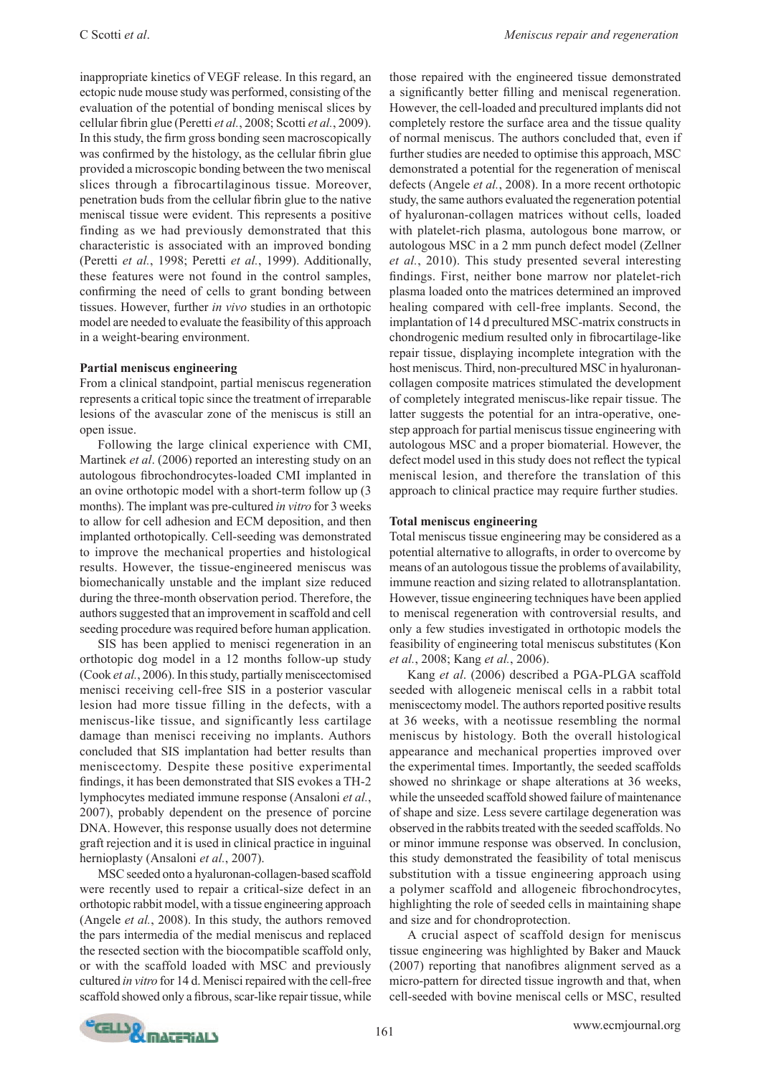inappropriate kinetics of VEGF release. In this regard, an ectopic nude mouse study was performed, consisting of the evaluation of the potential of bonding meniscal slices by cellular fibrin glue (Peretti *et al.*, 2008; Scotti *et al.*, 2009). In this study, the firm gross bonding seen macroscopically was confirmed by the histology, as the cellular fibrin glue provided a microscopic bonding between the two meniscal slices through a fibrocartilaginous tissue. Moreover, penetration buds from the cellular fibrin glue to the native meniscal tissue were evident. This represents a positive finding as we had previously demonstrated that this characteristic is associated with an improved bonding (Peretti *et al.*, 1998; Peretti *et al.*, 1999). Additionally, these features were not found in the control samples, confirming the need of cells to grant bonding between tissues. However, further *in vivo* studies in an orthotopic model are needed to evaluate the feasibility of this approach in a weight-bearing environment.

#### **Partial meniscus engineering**

From a clinical standpoint, partial meniscus regeneration represents a critical topic since the treatment of irreparable lesions of the avascular zone of the meniscus is still an open issue.

Following the large clinical experience with CMI, Martinek *et al*. (2006) reported an interesting study on an autologous fibrochondrocytes-loaded CMI implanted in an ovine orthotopic model with a short-term follow up (3 months). The implant was pre-cultured *in vitro* for 3 weeks to allow for cell adhesion and ECM deposition, and then implanted orthotopically. Cell-seeding was demonstrated to improve the mechanical properties and histological results. However, the tissue-engineered meniscus was biomechanically unstable and the implant size reduced during the three-month observation period. Therefore, the authors suggested that an improvement in scaffold and cell seeding procedure was required before human application.

SIS has been applied to menisci regeneration in an orthotopic dog model in a 12 months follow-up study (Cook *et al.*, 2006). In this study, partially meniscectomised menisci receiving cell-free SIS in a posterior vascular lesion had more tissue filling in the defects, with a meniscus-like tissue, and significantly less cartilage damage than menisci receiving no implants. Authors concluded that SIS implantation had better results than meniscectomy. Despite these positive experimental findings, it has been demonstrated that SIS evokes a TH-2 lymphocytes mediated immune response (Ansaloni *et al.*, 2007), probably dependent on the presence of porcine DNA. However, this response usually does not determine graft rejection and it is used in clinical practice in inguinal hernioplasty (Ansaloni *et al.*, 2007).

MSC seeded onto a hyaluronan-collagen-based scaffold were recently used to repair a critical-size defect in an orthotopic rabbit model, with a tissue engineering approach (Angele *et al.*, 2008). In this study, the authors removed the pars intermedia of the medial meniscus and replaced the resected section with the biocompatible scaffold only, or with the scaffold loaded with MSC and previously cultured *in vitro* for 14 d. Menisci repaired with the cell-free scaffold showed only a fibrous, scar-like repair tissue, while

those repaired with the engineered tissue demonstrated a significantly better filling and meniscal regeneration. However, the cell-loaded and precultured implants did not completely restore the surface area and the tissue quality of normal meniscus. The authors concluded that, even if further studies are needed to optimise this approach, MSC demonstrated a potential for the regeneration of meniscal defects (Angele *et al.*, 2008). In a more recent orthotopic study, the same authors evaluated the regeneration potential of hyaluronan-collagen matrices without cells, loaded with platelet-rich plasma, autologous bone marrow, or autologous MSC in a 2 mm punch defect model (Zellner *et al.*, 2010). This study presented several interesting findings. First, neither bone marrow nor platelet-rich plasma loaded onto the matrices determined an improved healing compared with cell-free implants. Second, the implantation of 14 d precultured MSC-matrix constructs in chondrogenic medium resulted only in fibrocartilage-like repair tissue, displaying incomplete integration with the host meniscus. Third, non-precultured MSC in hyaluronancollagen composite matrices stimulated the development of completely integrated meniscus-like repair tissue. The latter suggests the potential for an intra-operative, onestep approach for partial meniscus tissue engineering with autologous MSC and a proper biomaterial. However, the defect model used in this study does not reflect the typical meniscal lesion, and therefore the translation of this approach to clinical practice may require further studies.

# **Total meniscus engineering**

Total meniscus tissue engineering may be considered as a potential alternative to allografts, in order to overcome by means of an autologous tissue the problems of availability, immune reaction and sizing related to allotransplantation. However, tissue engineering techniques have been applied to meniscal regeneration with controversial results, and only a few studies investigated in orthotopic models the feasibility of engineering total meniscus substitutes (Kon *et al.*, 2008; Kang *et al.*, 2006).

Kang *et al*. (2006) described a PGA-PLGA scaffold seeded with allogeneic meniscal cells in a rabbit total meniscectomy model. The authors reported positive results at 36 weeks, with a neotissue resembling the normal meniscus by histology. Both the overall histological appearance and mechanical properties improved over the experimental times. Importantly, the seeded scaffolds showed no shrinkage or shape alterations at 36 weeks, while the unseeded scaffold showed failure of maintenance of shape and size. Less severe cartilage degeneration was observed in the rabbits treated with the seeded scaffolds. No or minor immune response was observed. In conclusion, this study demonstrated the feasibility of total meniscus substitution with a tissue engineering approach using a polymer scaffold and allogeneic fibrochondrocytes, highlighting the role of seeded cells in maintaining shape and size and for chondroprotection.

A crucial aspect of scaffold design for meniscus tissue engineering was highlighted by Baker and Mauck (2007) reporting that nanofibres alignment served as a micro-pattern for directed tissue ingrowth and that, when cell-seeded with bovine meniscal cells or MSC, resulted

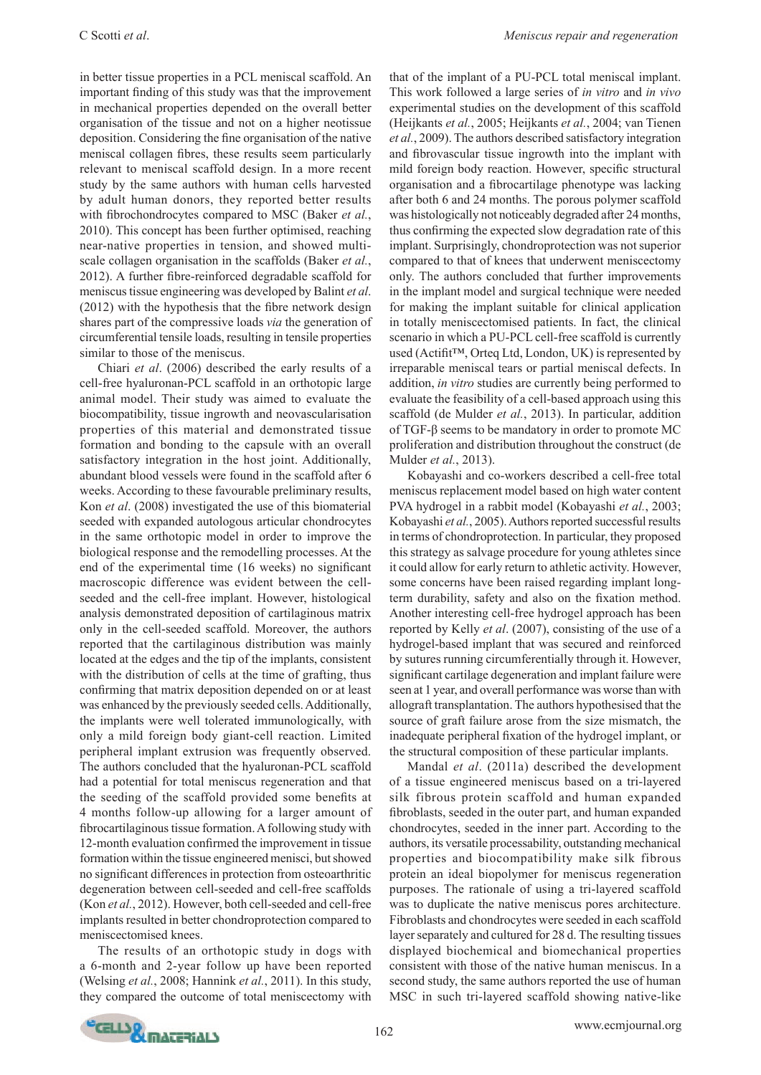in better tissue properties in a PCL meniscal scaffold. An important finding of this study was that the improvement in mechanical properties depended on the overall better organisation of the tissue and not on a higher neotissue deposition. Considering the fine organisation of the native meniscal collagen fibres, these results seem particularly relevant to meniscal scaffold design. In a more recent study by the same authors with human cells harvested by adult human donors, they reported better results with fibrochondrocytes compared to MSC (Baker *et al.*, 2010). This concept has been further optimised, reaching near-native properties in tension, and showed multiscale collagen organisation in the scaffolds (Baker *et al.*, 2012). A further fibre-reinforced degradable scaffold for meniscus tissue engineering was developed by Balint *et al*. (2012) with the hypothesis that the fibre network design shares part of the compressive loads *via* the generation of circumferential tensile loads, resulting in tensile properties similar to those of the meniscus.

Chiari *et al*. (2006) described the early results of a cell-free hyaluronan-PCL scaffold in an orthotopic large animal model. Their study was aimed to evaluate the biocompatibility, tissue ingrowth and neovascularisation properties of this material and demonstrated tissue formation and bonding to the capsule with an overall satisfactory integration in the host joint. Additionally, abundant blood vessels were found in the scaffold after 6 weeks. According to these favourable preliminary results, Kon *et al*. (2008) investigated the use of this biomaterial seeded with expanded autologous articular chondrocytes in the same orthotopic model in order to improve the biological response and the remodelling processes. At the end of the experimental time (16 weeks) no significant macroscopic difference was evident between the cellseeded and the cell-free implant. However, histological analysis demonstrated deposition of cartilaginous matrix only in the cell-seeded scaffold. Moreover, the authors reported that the cartilaginous distribution was mainly located at the edges and the tip of the implants, consistent with the distribution of cells at the time of grafting, thus confirming that matrix deposition depended on or at least was enhanced by the previously seeded cells. Additionally, the implants were well tolerated immunologically, with only a mild foreign body giant-cell reaction. Limited peripheral implant extrusion was frequently observed. The authors concluded that the hyaluronan-PCL scaffold had a potential for total meniscus regeneration and that the seeding of the scaffold provided some benefits at 4 months follow-up allowing for a larger amount of fibrocartilaginous tissue formation. A following study with 12-month evaluation confirmed the improvement in tissue formation within the tissue engineered menisci, but showed no significant differences in protection from osteoarthritic degeneration between cell-seeded and cell-free scaffolds (Kon *et al.*, 2012). However, both cell-seeded and cell-free implants resulted in better chondroprotection compared to meniscectomised knees.

The results of an orthotopic study in dogs with a 6-month and 2-year follow up have been reported (Welsing *et al.*, 2008; Hannink *et al.*, 2011). In this study, they compared the outcome of total meniscectomy with

that of the implant of a PU-PCL total meniscal implant. This work followed a large series of *in vitro* and *in vivo* experimental studies on the development of this scaffold (Heijkants *et al.*, 2005; Heijkants *et al.*, 2004; van Tienen *et al.*, 2009). The authors described satisfactory integration and fibrovascular tissue ingrowth into the implant with mild foreign body reaction. However, specific structural organisation and a fibrocartilage phenotype was lacking after both 6 and 24 months. The porous polymer scaffold was histologically not noticeably degraded after 24 months, thus confirming the expected slow degradation rate of this implant. Surprisingly, chondroprotection was not superior compared to that of knees that underwent meniscectomy only. The authors concluded that further improvements in the implant model and surgical technique were needed for making the implant suitable for clinical application in totally meniscectomised patients. In fact, the clinical scenario in which a PU-PCL cell-free scaffold is currently used (Actifit™, Orteq Ltd, London, UK) is represented by irreparable meniscal tears or partial meniscal defects. In addition, *in vitro* studies are currently being performed to evaluate the feasibility of a cell-based approach using this scaffold (de Mulder *et al.*, 2013). In particular, addition of TGF-β seems to be mandatory in order to promote MC proliferation and distribution throughout the construct (de Mulder *et al.*, 2013).

Kobayashi and co-workers described a cell-free total meniscus replacement model based on high water content PVA hydrogel in a rabbit model (Kobayashi *et al.*, 2003; Kobayashi *et al.*, 2005). Authors reported successful results in terms of chondroprotection. In particular, they proposed this strategy as salvage procedure for young athletes since it could allow for early return to athletic activity. However, some concerns have been raised regarding implant longterm durability, safety and also on the fixation method. Another interesting cell-free hydrogel approach has been reported by Kelly *et al*. (2007), consisting of the use of a hydrogel-based implant that was secured and reinforced by sutures running circumferentially through it. However, significant cartilage degeneration and implant failure were seen at 1 year, and overall performance was worse than with allograft transplantation. The authors hypothesised that the source of graft failure arose from the size mismatch, the inadequate peripheral fixation of the hydrogel implant, or the structural composition of these particular implants.

Mandal *et al*. (2011a) described the development of a tissue engineered meniscus based on a tri-layered silk fibrous protein scaffold and human expanded fibroblasts, seeded in the outer part, and human expanded chondrocytes, seeded in the inner part. According to the authors, its versatile processability, outstanding mechanical properties and biocompatibility make silk fibrous protein an ideal biopolymer for meniscus regeneration purposes. The rationale of using a tri-layered scaffold was to duplicate the native meniscus pores architecture. Fibroblasts and chondrocytes were seeded in each scaffold layer separately and cultured for 28 d. The resulting tissues displayed biochemical and biomechanical properties consistent with those of the native human meniscus. In a second study, the same authors reported the use of human MSC in such tri-layered scaffold showing native-like

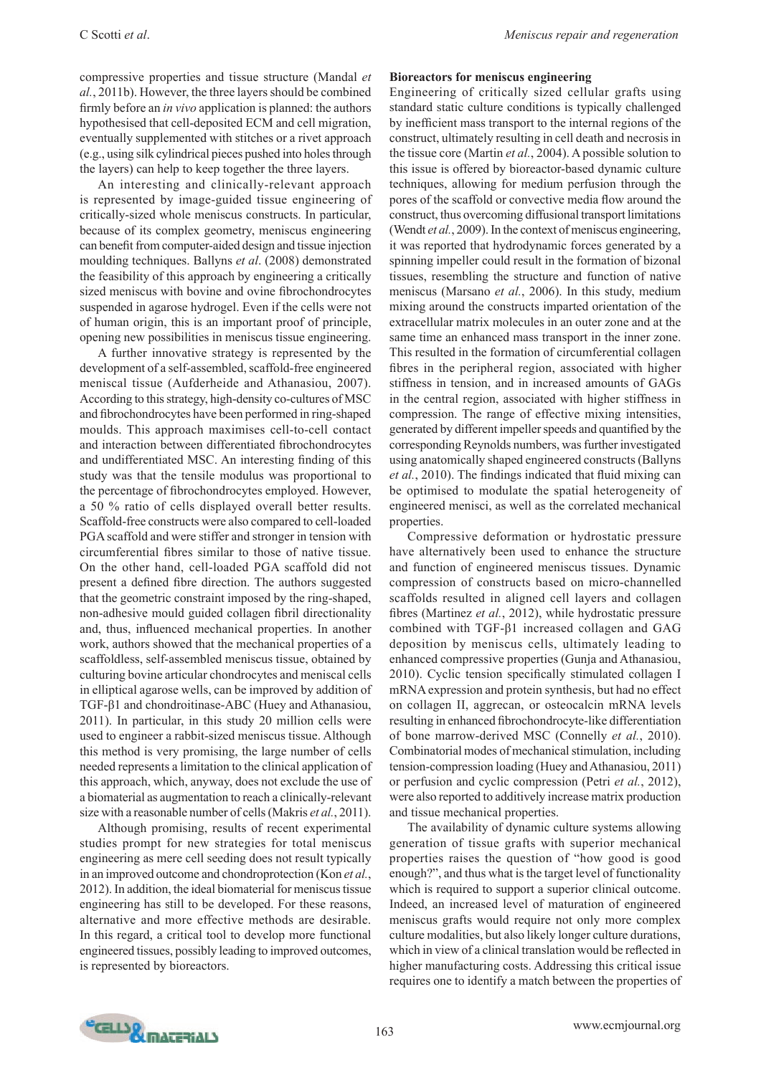compressive properties and tissue structure (Mandal *et al.*, 2011b). However, the three layers should be combined firmly before an *in vivo* application is planned: the authors hypothesised that cell-deposited ECM and cell migration, eventually supplemented with stitches or a rivet approach (e.g., using silk cylindrical pieces pushed into holes through the layers) can help to keep together the three layers.

An interesting and clinically-relevant approach is represented by image-guided tissue engineering of critically-sized whole meniscus constructs. In particular, because of its complex geometry, meniscus engineering can benefit from computer-aided design and tissue injection moulding techniques. Ballyns *et al*. (2008) demonstrated the feasibility of this approach by engineering a critically sized meniscus with bovine and ovine fibrochondrocytes suspended in agarose hydrogel. Even if the cells were not of human origin, this is an important proof of principle, opening new possibilities in meniscus tissue engineering.

A further innovative strategy is represented by the development of a self-assembled, scaffold-free engineered meniscal tissue (Aufderheide and Athanasiou, 2007). According to this strategy, high-density co-cultures of MSC and fibrochondrocytes have been performed in ring-shaped moulds. This approach maximises cell-to-cell contact and interaction between differentiated fibrochondrocytes and undifferentiated MSC. An interesting finding of this study was that the tensile modulus was proportional to the percentage of fibrochondrocytes employed. However, a 50 % ratio of cells displayed overall better results. Scaffold-free constructs were also compared to cell-loaded PGA scaffold and were stiffer and stronger in tension with circumferential fibres similar to those of native tissue. On the other hand, cell-loaded PGA scaffold did not present a defined fibre direction. The authors suggested that the geometric constraint imposed by the ring-shaped, non-adhesive mould guided collagen fibril directionality and, thus, influenced mechanical properties. In another work, authors showed that the mechanical properties of a scaffoldless, self-assembled meniscus tissue, obtained by culturing bovine articular chondrocytes and meniscal cells in elliptical agarose wells, can be improved by addition of TGF-β1 and chondroitinase-ABC (Huey and Athanasiou, 2011). In particular, in this study 20 million cells were used to engineer a rabbit-sized meniscus tissue. Although this method is very promising, the large number of cells needed represents a limitation to the clinical application of this approach, which, anyway, does not exclude the use of a biomaterial as augmentation to reach a clinically-relevant size with a reasonable number of cells (Makris *et al.*, 2011).

Although promising, results of recent experimental studies prompt for new strategies for total meniscus engineering as mere cell seeding does not result typically in an improved outcome and chondroprotection (Kon *et al.*, 2012). In addition, the ideal biomaterial for meniscus tissue engineering has still to be developed. For these reasons, alternative and more effective methods are desirable. In this regard, a critical tool to develop more functional engineered tissues, possibly leading to improved outcomes, is represented by bioreactors.

#### **Bioreactors for meniscus engineering**

Engineering of critically sized cellular grafts using standard static culture conditions is typically challenged by inefficient mass transport to the internal regions of the construct, ultimately resulting in cell death and necrosis in the tissue core (Martin *et al.*, 2004). A possible solution to this issue is offered by bioreactor-based dynamic culture techniques, allowing for medium perfusion through the pores of the scaffold or convective media flow around the construct, thus overcoming diffusional transport limitations (Wendt *et al.*, 2009). In the context of meniscus engineering, it was reported that hydrodynamic forces generated by a spinning impeller could result in the formation of bizonal tissues, resembling the structure and function of native meniscus (Marsano *et al.*, 2006). In this study, medium mixing around the constructs imparted orientation of the extracellular matrix molecules in an outer zone and at the same time an enhanced mass transport in the inner zone. This resulted in the formation of circumferential collagen fibres in the peripheral region, associated with higher stiffness in tension, and in increased amounts of GAGs in the central region, associated with higher stiffness in compression. The range of effective mixing intensities, generated by different impeller speeds and quantified by the corresponding Reynolds numbers, was further investigated using anatomically shaped engineered constructs (Ballyns *et al.*, 2010). The findings indicated that fluid mixing can be optimised to modulate the spatial heterogeneity of engineered menisci, as well as the correlated mechanical properties.

Compressive deformation or hydrostatic pressure have alternatively been used to enhance the structure and function of engineered meniscus tissues. Dynamic compression of constructs based on micro-channelled scaffolds resulted in aligned cell layers and collagen fibres (Martinez *et al.*, 2012), while hydrostatic pressure combined with TGF-β1 increased collagen and GAG deposition by meniscus cells, ultimately leading to enhanced compressive properties (Gunja and Athanasiou, 2010). Cyclic tension specifically stimulated collagen I mRNA expression and protein synthesis, but had no effect on collagen II, aggrecan, or osteocalcin mRNA levels resulting in enhanced fibrochondrocyte-like differentiation of bone marrow-derived MSC (Connelly *et al.*, 2010). Combinatorial modes of mechanical stimulation, including tension-compression loading (Huey and Athanasiou, 2011) or perfusion and cyclic compression (Petri *et al.*, 2012), were also reported to additively increase matrix production and tissue mechanical properties.

The availability of dynamic culture systems allowing generation of tissue grafts with superior mechanical properties raises the question of "how good is good enough?", and thus what is the target level of functionality which is required to support a superior clinical outcome. Indeed, an increased level of maturation of engineered meniscus grafts would require not only more complex culture modalities, but also likely longer culture durations, which in view of a clinical translation would be reflected in higher manufacturing costs. Addressing this critical issue requires one to identify a match between the properties of

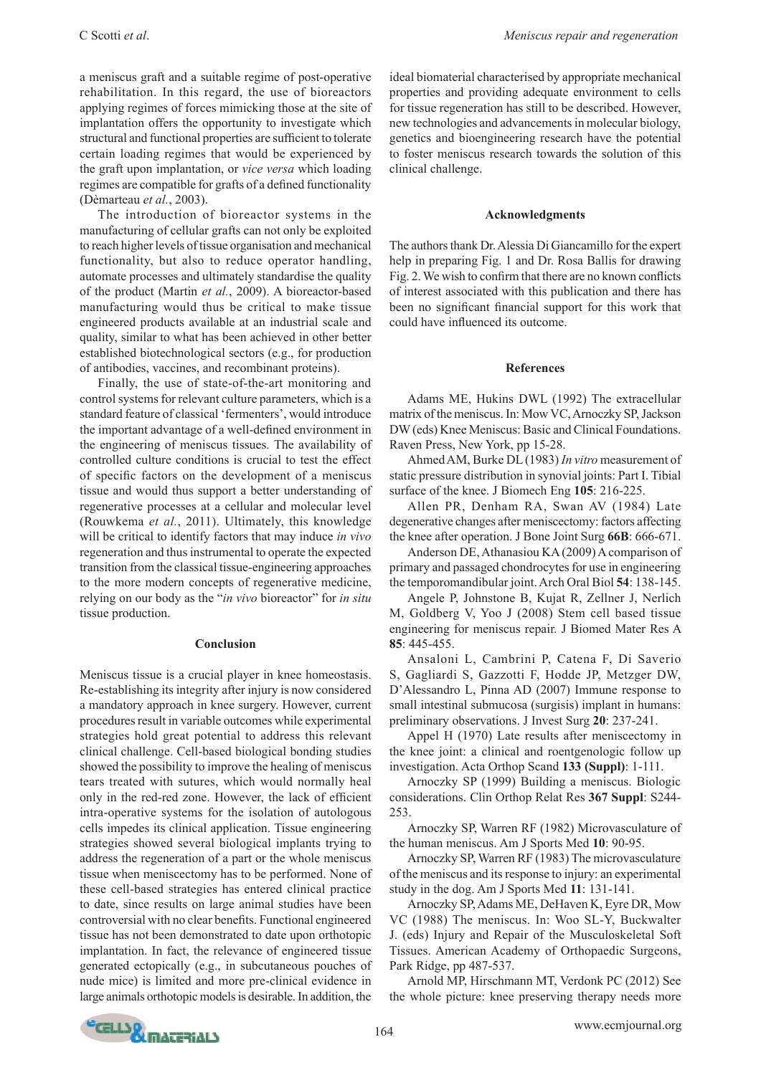a meniscus graft and a suitable regime of post-operative rehabilitation. In this regard, the use of bioreactors applying regimes of forces mimicking those at the site of implantation offers the opportunity to investigate which structural and functional properties are sufficient to tolerate certain loading regimes that would be experienced by the graft upon implantation, or *vice versa* which loading regimes are compatible for grafts of a defined functionality (Dèmarteau *et al.*, 2003).

The introduction of bioreactor systems in the manufacturing of cellular grafts can not only be exploited to reach higher levels of tissue organisation and mechanical functionality, but also to reduce operator handling, automate processes and ultimately standardise the quality of the product (Martin *et al.*, 2009). A bioreactor-based manufacturing would thus be critical to make tissue engineered products available at an industrial scale and quality, similar to what has been achieved in other better established biotechnological sectors (e.g., for production of antibodies, vaccines, and recombinant proteins).

Finally, the use of state-of-the-art monitoring and control systems for relevant culture parameters, which is a standard feature of classical 'fermenters', would introduce the important advantage of a well-defined environment in the engineering of meniscus tissues. The availability of controlled culture conditions is crucial to test the effect of specific factors on the development of a meniscus tissue and would thus support a better understanding of regenerative processes at a cellular and molecular level (Rouwkema *et al.*, 2011). Ultimately, this knowledge will be critical to identify factors that may induce *in vivo* regeneration and thus instrumental to operate the expected transition from the classical tissue-engineering approaches to the more modern concepts of regenerative medicine, relying on our body as the "*in vivo* bioreactor" for *in situ* tissue production.

#### **Conclusion**

Meniscus tissue is a crucial player in knee homeostasis. Re-establishing its integrity after injury is now considered a mandatory approach in knee surgery. However, current procedures result in variable outcomes while experimental strategies hold great potential to address this relevant clinical challenge. Cell-based biological bonding studies showed the possibility to improve the healing of meniscus tears treated with sutures, which would normally heal only in the red-red zone. However, the lack of efficient intra-operative systems for the isolation of autologous cells impedes its clinical application. Tissue engineering strategies showed several biological implants trying to address the regeneration of a part or the whole meniscus tissue when meniscectomy has to be performed. None of these cell-based strategies has entered clinical practice to date, since results on large animal studies have been controversial with no clear benefits. Functional engineered tissue has not been demonstrated to date upon orthotopic implantation. In fact, the relevance of engineered tissue generated ectopically (e.g., in subcutaneous pouches of nude mice) is limited and more pre-clinical evidence in large animals orthotopic models is desirable. In addition, the

ideal biomaterial characterised by appropriate mechanical properties and providing adequate environment to cells for tissue regeneration has still to be described. However, new technologies and advancements in molecular biology, genetics and bioengineering research have the potential to foster meniscus research towards the solution of this clinical challenge.

#### **Acknowledgments**

The authors thank Dr. Alessia Di Giancamillo for the expert help in preparing Fig. 1 and Dr. Rosa Ballis for drawing Fig. 2. We wish to confirm that there are no known conflicts of interest associated with this publication and there has been no significant financial support for this work that could have influenced its outcome.

#### **References**

Adams ME, Hukins DWL (1992) The extracellular matrix of the meniscus. In: Mow VC, Arnoczky SP, Jackson DW (eds) Knee Meniscus: Basic and Clinical Foundations. Raven Press, New York, pp 15-28.

Ahmed AM, Burke DL (1983) *In vitro* measurement of static pressure distribution in synovial joints: Part I. Tibial surface of the knee. J Biomech Eng **105**: 216-225.

Allen PR, Denham RA, Swan AV (1984) Late degenerative changes after meniscectomy: factors affecting the knee after operation. J Bone Joint Surg **66B**: 666-671.

Anderson DE, Athanasiou KA (2009) A comparison of primary and passaged chondrocytes for use in engineering the temporomandibular joint. Arch Oral Biol **54**: 138-145.

Angele P, Johnstone B, Kujat R, Zellner J, Nerlich M, Goldberg V, Yoo J (2008) Stem cell based tissue engineering for meniscus repair. J Biomed Mater Res A **85**: 445-455.

Ansaloni L, Cambrini P, Catena F, Di Saverio S, Gagliardi S, Gazzotti F, Hodde JP, Metzger DW, D'Alessandro L, Pinna AD (2007) Immune response to small intestinal submucosa (surgisis) implant in humans: preliminary observations. J Invest Surg **20**: 237-241.

Appel H (1970) Late results after meniscectomy in the knee joint: a clinical and roentgenologic follow up investigation. Acta Orthop Scand **133 (Suppl)**: 1-111.

Arnoczky SP (1999) Building a meniscus. Biologic considerations. Clin Orthop Relat Res **367 Suppl**: S244- 253.

Arnoczky SP, Warren RF (1982) Microvasculature of the human meniscus. Am J Sports Med **10**: 90-95.

Arnoczky SP, Warren RF (1983) The microvasculature of the meniscus and its response to injury: an experimental study in the dog. Am J Sports Med **11**: 131-141.

Arnoczky SP, Adams ME, DeHaven K, Eyre DR, Mow VC (1988) The meniscus. In: Woo SL-Y, Buckwalter J. (eds) Injury and Repair of the Musculoskeletal Soft Tissues. American Academy of Orthopaedic Surgeons, Park Ridge, pp 487-537.

Arnold MP, Hirschmann MT, Verdonk PC (2012) See the whole picture: knee preserving therapy needs more

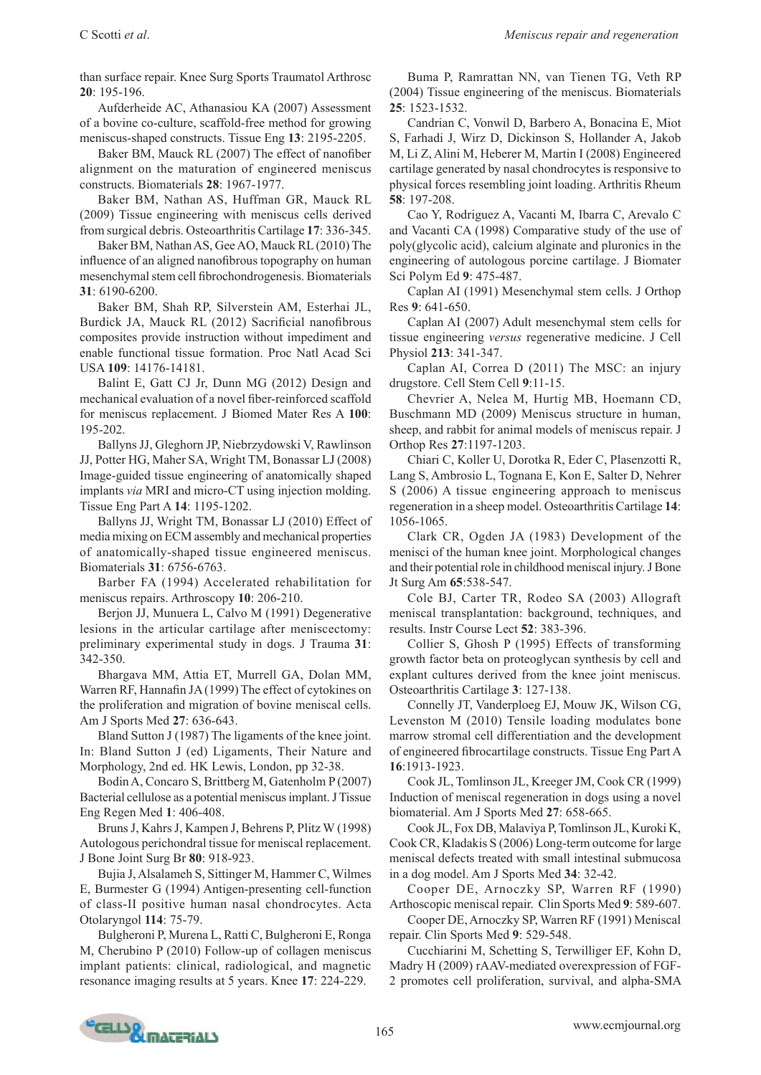than surface repair. Knee Surg Sports Traumatol Arthrosc **20**: 195-196.

Aufderheide AC, Athanasiou KA (2007) Assessment of a bovine co-culture, scaffold-free method for growing meniscus-shaped constructs. Tissue Eng **13**: 2195-2205.

Baker BM, Mauck RL (2007) The effect of nanofiber alignment on the maturation of engineered meniscus constructs. Biomaterials **28**: 1967-1977.

Baker BM, Nathan AS, Huffman GR, Mauck RL (2009) Tissue engineering with meniscus cells derived from surgical debris. Osteoarthritis Cartilage **17**: 336-345.

Baker BM, Nathan AS, Gee AO, Mauck RL (2010) The influence of an aligned nanofibrous topography on human mesenchymal stem cell fibrochondrogenesis. Biomaterials **31**: 6190-6200.

Baker BM, Shah RP, Silverstein AM, Esterhai JL, Burdick JA, Mauck RL (2012) Sacrificial nanofibrous composites provide instruction without impediment and enable functional tissue formation. Proc Natl Acad Sci USA **109**: 14176-14181.

Balint E, Gatt CJ Jr, Dunn MG (2012) Design and mechanical evaluation of a novel fiber-reinforced scaffold for meniscus replacement. J Biomed Mater Res A **100**: 195-202.

Ballyns JJ, Gleghorn JP, Niebrzydowski V, Rawlinson JJ, Potter HG, Maher SA, Wright TM, Bonassar LJ (2008) Image-guided tissue engineering of anatomically shaped implants *via* MRI and micro-CT using injection molding. Tissue Eng Part A **14**: 1195-1202.

Ballyns JJ, Wright TM, Bonassar LJ (2010) Effect of media mixing on ECM assembly and mechanical properties of anatomically-shaped tissue engineered meniscus. Biomaterials **31**: 6756-6763.

Barber FA (1994) Accelerated rehabilitation for meniscus repairs. Arthroscopy **10**: 206-210.

Berjon JJ, Munuera L, Calvo M (1991) Degenerative lesions in the articular cartilage after meniscectomy: preliminary experimental study in dogs. J Trauma **31**: 342-350.

Bhargava MM, Attia ET, Murrell GA, Dolan MM, Warren RF, Hannafin JA (1999) The effect of cytokines on the proliferation and migration of bovine meniscal cells. Am J Sports Med **27**: 636-643.

Bland Sutton J (1987) The ligaments of the knee joint. In: Bland Sutton J (ed) Ligaments, Their Nature and Morphology, 2nd ed. HK Lewis, London, pp 32-38.

Bodin A, Concaro S, Brittberg M, Gatenholm P (2007) Bacterial cellulose as a potential meniscus implant. J Tissue Eng Regen Med **1**: 406-408.

Bruns J, Kahrs J, Kampen J, Behrens P, Plitz W (1998) Autologous perichondral tissue for meniscal replacement. J Bone Joint Surg Br **80**: 918-923.

Bujia J, Alsalameh S, Sittinger M, Hammer C, Wilmes E, Burmester G (1994) Antigen-presenting cell-function of class-II positive human nasal chondrocytes. Acta Otolaryngol **114**: 75-79.

Bulgheroni P, Murena L, Ratti C, Bulgheroni E, Ronga M, Cherubino P (2010) Follow-up of collagen meniscus implant patients: clinical, radiological, and magnetic resonance imaging results at 5 years. Knee **17**: 224-229.

Buma P, Ramrattan NN, van Tienen TG, Veth RP (2004) Tissue engineering of the meniscus. Biomaterials **25**: 1523-1532.

Candrian C, Vonwil D, Barbero A, Bonacina E, Miot S, Farhadi J, Wirz D, Dickinson S, Hollander A, Jakob M, Li Z, Alini M, Heberer M, Martin I (2008) Engineered cartilage generated by nasal chondrocytes is responsive to physical forces resembling joint loading. Arthritis Rheum **58**: 197-208.

Cao Y, Rodriguez A, Vacanti M, Ibarra C, Arevalo C and Vacanti CA (1998) Comparative study of the use of poly(glycolic acid), calcium alginate and pluronics in the engineering of autologous porcine cartilage. J Biomater Sci Polym Ed **9**: 475-487.

Caplan AI (1991) Mesenchymal stem cells. J Orthop Res **9**: 641-650.

Caplan AI (2007) Adult mesenchymal stem cells for tissue engineering *versus* regenerative medicine. J Cell Physiol **213**: 341-347.

Caplan AI, Correa D (2011) The MSC: an injury drugstore. Cell Stem Cell **9**:11-15.

Chevrier A, Nelea M, Hurtig MB, Hoemann CD, Buschmann MD (2009) Meniscus structure in human, sheep, and rabbit for animal models of meniscus repair. J Orthop Res **27**:1197-1203.

Chiari C, Koller U, Dorotka R, Eder C, Plasenzotti R, Lang S, Ambrosio L, Tognana E, Kon E, Salter D, Nehrer S (2006) A tissue engineering approach to meniscus regeneration in a sheep model. Osteoarthritis Cartilage **14**: 1056-1065.

Clark CR, Ogden JA (1983) Development of the menisci of the human knee joint. Morphological changes and their potential role in childhood meniscal injury. J Bone Jt Surg Am **65**:538-547.

Cole BJ, Carter TR, Rodeo SA (2003) Allograft meniscal transplantation: background, techniques, and results. Instr Course Lect **52**: 383-396.

Collier S, Ghosh P (1995) Effects of transforming growth factor beta on proteoglycan synthesis by cell and explant cultures derived from the knee joint meniscus. Osteoarthritis Cartilage **3**: 127-138.

Connelly JT, Vanderploeg EJ, Mouw JK, Wilson CG, Levenston M (2010) Tensile loading modulates bone marrow stromal cell differentiation and the development of engineered fibrocartilage constructs. Tissue Eng Part A **16**:1913-1923.

Cook JL, Tomlinson JL, Kreeger JM, Cook CR (1999) Induction of meniscal regeneration in dogs using a novel biomaterial. Am J Sports Med **27**: 658-665.

Cook JL, Fox DB, Malaviya P, Tomlinson JL, Kuroki K, Cook CR, Kladakis S (2006) Long-term outcome for large meniscal defects treated with small intestinal submucosa in a dog model. Am J Sports Med **34**: 32-42.

Cooper DE, Arnoczky SP, Warren RF (1990) Arthoscopic meniscal repair. Clin Sports Med **9**: 589-607.

Cooper DE, Arnoczky SP, Warren RF (1991) Meniscal repair. Clin Sports Med **9**: 529-548.

Cucchiarini M, Schetting S, Terwilliger EF, Kohn D, Madry H (2009) rAAV-mediated overexpression of FGF-2 promotes cell proliferation, survival, and alpha-SMA

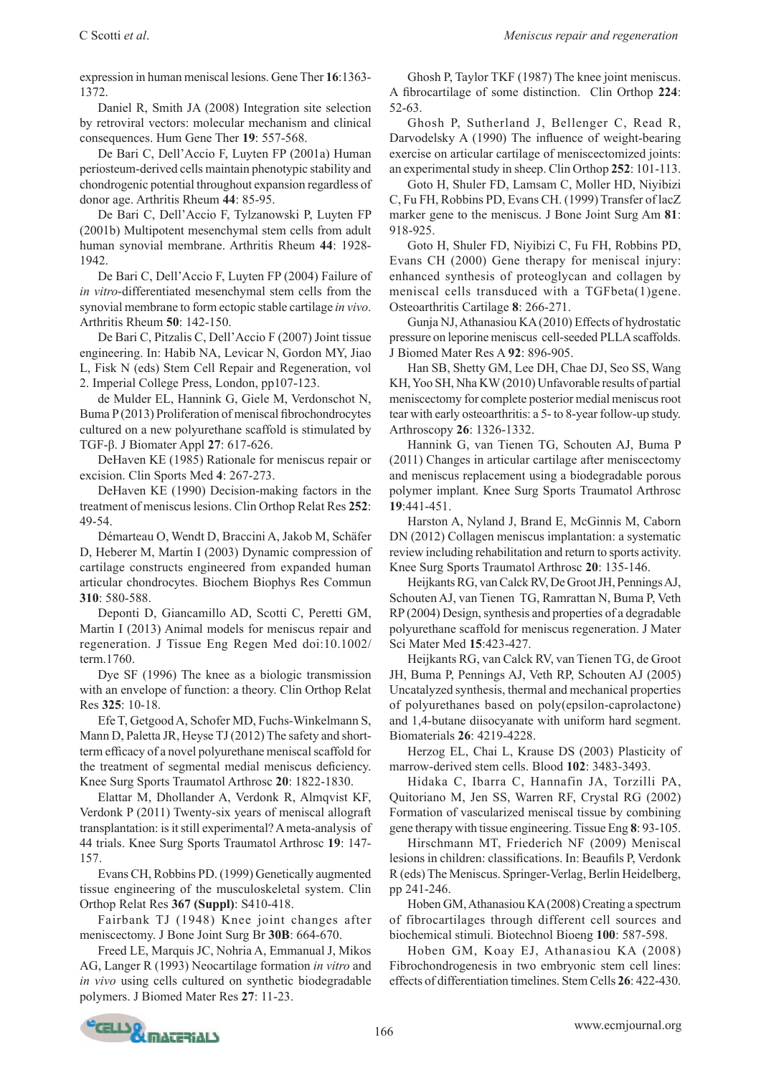expression in human meniscal lesions. Gene Ther **16**:1363- 1372.

Daniel R, Smith JA (2008) Integration site selection by retroviral vectors: molecular mechanism and clinical consequences. Hum Gene Ther **19**: 557-568.

De Bari C, Dell'Accio F, Luyten FP (2001a) Human periosteum-derived cells maintain phenotypic stability and chondrogenic potential throughout expansion regardless of donor age. Arthritis Rheum **44**: 85-95.

De Bari C, Dell'Accio F, Tylzanowski P, Luyten FP (2001b) Multipotent mesenchymal stem cells from adult human synovial membrane. Arthritis Rheum **44**: 1928- 1942.

De Bari C, Dell'Accio F, Luyten FP (2004) Failure of *in vitro*-differentiated mesenchymal stem cells from the synovial membrane to form ectopic stable cartilage *in vivo*. Arthritis Rheum **50**: 142-150.

De Bari C, Pitzalis C, Dell'Accio F (2007) Joint tissue engineering. In: Habib NA, Levicar N, Gordon MY, Jiao L, Fisk N (eds) Stem Cell Repair and Regeneration, vol 2. Imperial College Press, London, pp107-123.

de Mulder EL, Hannink G, Giele M, Verdonschot N, Buma P (2013) Proliferation of meniscal fibrochondrocytes cultured on a new polyurethane scaffold is stimulated by TGF-β. J Biomater Appl **27**: 617-626.

DeHaven KE (1985) Rationale for meniscus repair or excision. Clin Sports Med **4**: 267-273.

DeHaven KE (1990) Decision-making factors in the treatment of meniscus lesions. Clin Orthop Relat Res **252**: 49-54.

Démarteau O, Wendt D, Braccini A, Jakob M, Schäfer D, Heberer M, Martin I (2003) Dynamic compression of cartilage constructs engineered from expanded human articular chondrocytes. Biochem Biophys Res Commun **310**: 580-588.

Deponti D, Giancamillo AD, Scotti C, Peretti GM, Martin I (2013) Animal models for meniscus repair and regeneration. J Tissue Eng Regen Med doi:10.1002/ term.1760.

Dye SF (1996) The knee as a biologic transmission with an envelope of function: a theory. Clin Orthop Relat Res **325**: 10-18.

Efe T, Getgood A, Schofer MD, Fuchs-Winkelmann S, Mann D, Paletta JR, Heyse TJ (2012) The safety and shortterm efficacy of a novel polyurethane meniscal scaffold for the treatment of segmental medial meniscus deficiency. Knee Surg Sports Traumatol Arthrosc **20**: 1822-1830.

Elattar M, Dhollander A, Verdonk R, Almqvist KF, Verdonk P (2011) Twenty-six years of meniscal allograft transplantation: is it still experimental? A meta-analysis of 44 trials. Knee Surg Sports Traumatol Arthrosc **19**: 147- 157.

Evans CH, Robbins PD. (1999) Genetically augmented tissue engineering of the musculoskeletal system. Clin Orthop Relat Res **367 (Suppl)**: S410-418.

Fairbank TJ (1948) Knee joint changes after meniscectomy. J Bone Joint Surg Br **30B**: 664-670.

Freed LE, Marquis JC, Nohria A, Emmanual J, Mikos AG, Langer R (1993) Neocartilage formation *in vitro* and *in vivo* using cells cultured on synthetic biodegradable polymers. J Biomed Mater Res **27**: 11-23.

Ghosh P, Taylor TKF (1987) The knee joint meniscus. A fibrocartilage of some distinction. Clin Orthop **224**: 52-63.

Ghosh P, Sutherland J, Bellenger C, Read R, Darvodelsky A (1990) The influence of weight-bearing exercise on articular cartilage of meniscectomized joints: an experimental study in sheep. Clin Orthop **252**: 101-113.

Goto H, Shuler FD, Lamsam C, Moller HD, Niyibizi C, Fu FH, Robbins PD, Evans CH. (1999) Transfer of lacZ marker gene to the meniscus. J Bone Joint Surg Am **81**: 918-925.

Goto H, Shuler FD, Niyibizi C, Fu FH, Robbins PD, Evans CH (2000) Gene therapy for meniscal injury: enhanced synthesis of proteoglycan and collagen by meniscal cells transduced with a TGFbeta(1)gene. Osteoarthritis Cartilage **8**: 266-271.

Gunja NJ, Athanasiou KA (2010) Effects of hydrostatic pressure on leporine meniscus cell-seeded PLLA scaffolds. J Biomed Mater Res A **92**: 896-905.

Han SB, Shetty GM, Lee DH, Chae DJ, Seo SS, Wang KH, Yoo SH, Nha KW (2010) Unfavorable results of partial meniscectomy for complete posterior medial meniscus root tear with early osteoarthritis: a 5- to 8-year follow-up study. Arthroscopy **26**: 1326-1332.

Hannink G, van Tienen TG, Schouten AJ, Buma P (2011) Changes in articular cartilage after meniscectomy and meniscus replacement using a biodegradable porous polymer implant. Knee Surg Sports Traumatol Arthrosc **19**:441-451.

Harston A, Nyland J, Brand E, McGinnis M, Caborn DN (2012) Collagen meniscus implantation: a systematic review including rehabilitation and return to sports activity. Knee Surg Sports Traumatol Arthrosc **20**: 135-146.

Heijkants RG, van Calck RV, De Groot JH, Pennings AJ, Schouten AJ, van Tienen TG, Ramrattan N, Buma P, Veth RP (2004) Design, synthesis and properties of a degradable polyurethane scaffold for meniscus regeneration. J Mater Sci Mater Med **15**:423-427.

Heijkants RG, van Calck RV, van Tienen TG, de Groot JH, Buma P, Pennings AJ, Veth RP, Schouten AJ (2005) Uncatalyzed synthesis, thermal and mechanical properties of polyurethanes based on poly(epsilon-caprolactone) and 1,4-butane diisocyanate with uniform hard segment. Biomaterials **26**: 4219-4228.

Herzog EL, Chai L, Krause DS (2003) Plasticity of marrow-derived stem cells. Blood **102**: 3483-3493.

Hidaka C, Ibarra C, Hannafin JA, Torzilli PA, Quitoriano M, Jen SS, Warren RF, Crystal RG (2002) Formation of vascularized meniscal tissue by combining gene therapy with tissue engineering. Tissue Eng **8**: 93-105.

Hirschmann MT, Friederich NF (2009) Meniscal lesions in children: classifications. In: Beaufils P, Verdonk R (eds) The Meniscus. Springer-Verlag, Berlin Heidelberg, pp 241-246.

Hoben GM, Athanasiou KA (2008) Creating a spectrum of fibrocartilages through different cell sources and biochemical stimuli. Biotechnol Bioeng **100**: 587-598.

Hoben GM, Koay EJ, Athanasiou KA (2008) Fibrochondrogenesis in two embryonic stem cell lines: effects of differentiation timelines. Stem Cells **26**: 422-430.

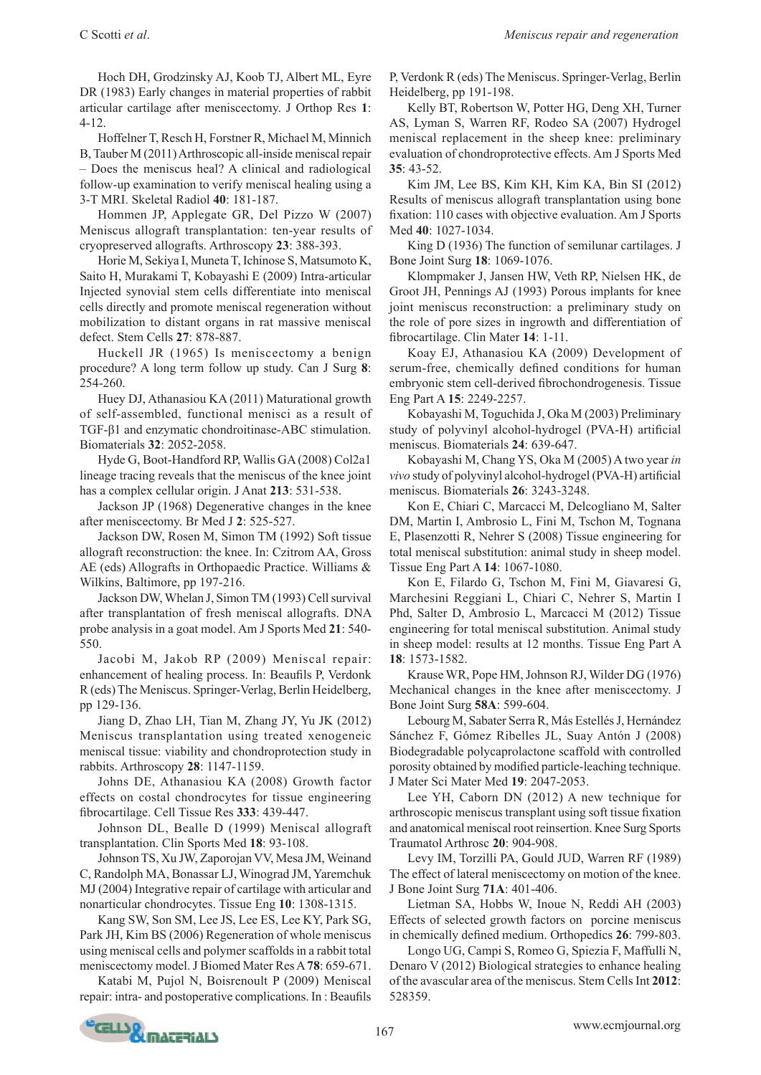C Scotti *et al*. *Meniscus repair and regeneration*

Hoch DH, Grodzinsky AJ, Koob TJ, Albert ML, Eyre DR (1983) Early changes in material properties of rabbit articular cartilage after meniscectomy. J Orthop Res **1**: 4-12.

Hoffelner T, Resch H, Forstner R, Michael M, Minnich B, Tauber M (2011) Arthroscopic all-inside meniscal repair – Does the meniscus heal? A clinical and radiological follow-up examination to verify meniscal healing using a 3-T MRI. Skeletal Radiol **40**: 181-187.

Hommen JP, Applegate GR, Del Pizzo W (2007) Meniscus allograft transplantation: ten-year results of cryopreserved allografts. Arthroscopy **23**: 388-393.

Horie M, Sekiya I, Muneta T, Ichinose S, Matsumoto K, Saito H, Murakami T, Kobayashi E (2009) Intra-articular Injected synovial stem cells differentiate into meniscal cells directly and promote meniscal regeneration without mobilization to distant organs in rat massive meniscal defect. Stem Cells **27**: 878-887.

Huckell JR (1965) Is meniscectomy a benign procedure? A long term follow up study. Can J Surg **8**: 254-260.

Huey DJ, Athanasiou KA (2011) Maturational growth of self-assembled, functional menisci as a result of TGF-β1 and enzymatic chondroitinase-ABC stimulation. Biomaterials **32**: 2052-2058.

Hyde G, Boot-Handford RP, Wallis GA (2008) Col2a1 lineage tracing reveals that the meniscus of the knee joint has a complex cellular origin. J Anat **213**: 531-538.

Jackson JP (1968) Degenerative changes in the knee after meniscectomy. Br Med J **2**: 525-527.

Jackson DW, Rosen M, Simon TM (1992) Soft tissue allograft reconstruction: the knee. In: Czitrom AA, Gross AE (eds) Allografts in Orthopaedic Practice. Williams & Wilkins, Baltimore, pp 197-216.

Jackson DW, Whelan J, Simon TM (1993) Cell survival after transplantation of fresh meniscal allografts. DNA probe analysis in a goat model. Am J Sports Med **21**: 540- 550.

Jacobi M, Jakob RP (2009) Meniscal repair: enhancement of healing process. In: Beaufils P, Verdonk R (eds) The Meniscus. Springer-Verlag, Berlin Heidelberg, pp 129-136.

Jiang D, Zhao LH, Tian M, Zhang JY, Yu JK (2012) Meniscus transplantation using treated xenogeneic meniscal tissue: viability and chondroprotection study in rabbits. Arthroscopy **28**: 1147-1159.

Johns DE, Athanasiou KA (2008) Growth factor effects on costal chondrocytes for tissue engineering fibrocartilage. Cell Tissue Res **333**: 439-447.

Johnson DL, Bealle D (1999) Meniscal allograft transplantation. Clin Sports Med **18**: 93-108.

Johnson TS, Xu JW, Zaporojan VV, Mesa JM, Weinand C, Randolph MA, Bonassar LJ, Winograd JM, Yaremchuk MJ (2004) Integrative repair of cartilage with articular and nonarticular chondrocytes. Tissue Eng **10**: 1308-1315.

Kang SW, Son SM, Lee JS, Lee ES, Lee KY, Park SG, Park JH, Kim BS (2006) Regeneration of whole meniscus using meniscal cells and polymer scaffolds in a rabbit total meniscectomy model. J Biomed Mater Res A **78**: 659-671.

Katabi M, Pujol N, Boisrenoult P (2009) Meniscal repair: intra- and postoperative complications. In : Beaufils P, Verdonk R (eds) The Meniscus. Springer-Verlag, Berlin Heidelberg, pp 191-198.

Kelly BT, Robertson W, Potter HG, Deng XH, Turner AS, Lyman S, Warren RF, Rodeo SA (2007) Hydrogel meniscal replacement in the sheep knee: preliminary evaluation of chondroprotective effects. Am J Sports Med **35**: 43-52.

Kim JM, Lee BS, Kim KH, Kim KA, Bin SI (2012) Results of meniscus allograft transplantation using bone fixation: 110 cases with objective evaluation. Am J Sports Med **40**: 1027-1034.

King D (1936) The function of semilunar cartilages. J Bone Joint Surg **18**: 1069-1076.

Klompmaker J, Jansen HW, Veth RP, Nielsen HK, de Groot JH, Pennings AJ (1993) Porous implants for knee joint meniscus reconstruction: a preliminary study on the role of pore sizes in ingrowth and differentiation of fibrocartilage. Clin Mater **14**: 1-11.

Koay EJ, Athanasiou KA (2009) Development of serum-free, chemically defined conditions for human embryonic stem cell-derived fibrochondrogenesis. Tissue Eng Part A **15**: 2249-2257.

Kobayashi M, Toguchida J, Oka M (2003) Preliminary study of polyvinyl alcohol-hydrogel (PVA-H) artificial meniscus. Biomaterials **24**: 639-647.

Kobayashi M, Chang YS, Oka M (2005) A two year *in vivo* study of polyvinyl alcohol-hydrogel (PVA-H) artificial meniscus. Biomaterials **26**: 3243-3248.

Kon E, Chiari C, Marcacci M, Delcogliano M, Salter DM, Martin I, Ambrosio L, Fini M, Tschon M, Tognana E, Plasenzotti R, Nehrer S (2008) Tissue engineering for total meniscal substitution: animal study in sheep model. Tissue Eng Part A **14**: 1067-1080.

Kon E, Filardo G, Tschon M, Fini M, Giavaresi G, Marchesini Reggiani L, Chiari C, Nehrer S, Martin I Phd, Salter D, Ambrosio L, Marcacci M (2012) Tissue engineering for total meniscal substitution. Animal study in sheep model: results at 12 months. Tissue Eng Part A **18**: 1573-1582.

Krause WR, Pope HM, Johnson RJ, Wilder DG (1976) Mechanical changes in the knee after meniscectomy. J Bone Joint Surg **58A**: 599-604.

Lebourg M, Sabater Serra R, Más Estellés J, Hernández Sánchez F, Gómez Ribelles JL, Suay Antón J (2008) Biodegradable polycaprolactone scaffold with controlled porosity obtained by modified particle-leaching technique. J Mater Sci Mater Med **19**: 2047-2053.

Lee YH, Caborn DN (2012) A new technique for arthroscopic meniscus transplant using soft tissue fixation and anatomical meniscal root reinsertion. Knee Surg Sports Traumatol Arthrosc **20**: 904-908.

Levy IM, Torzilli PA, Gould JUD, Warren RF (1989) The effect of lateral meniscectomy on motion of the knee. J Bone Joint Surg **71A**: 401-406.

Lietman SA, Hobbs W, Inoue N, Reddi AH (2003) Effects of selected growth factors on porcine meniscus in chemically defined medium. Orthopedics **26**: 799-803.

Longo UG, Campi S, Romeo G, Spiezia F, Maffulli N, Denaro V (2012) Biological strategies to enhance healing of the avascular area of the meniscus. Stem Cells Int **2012**: 528359.

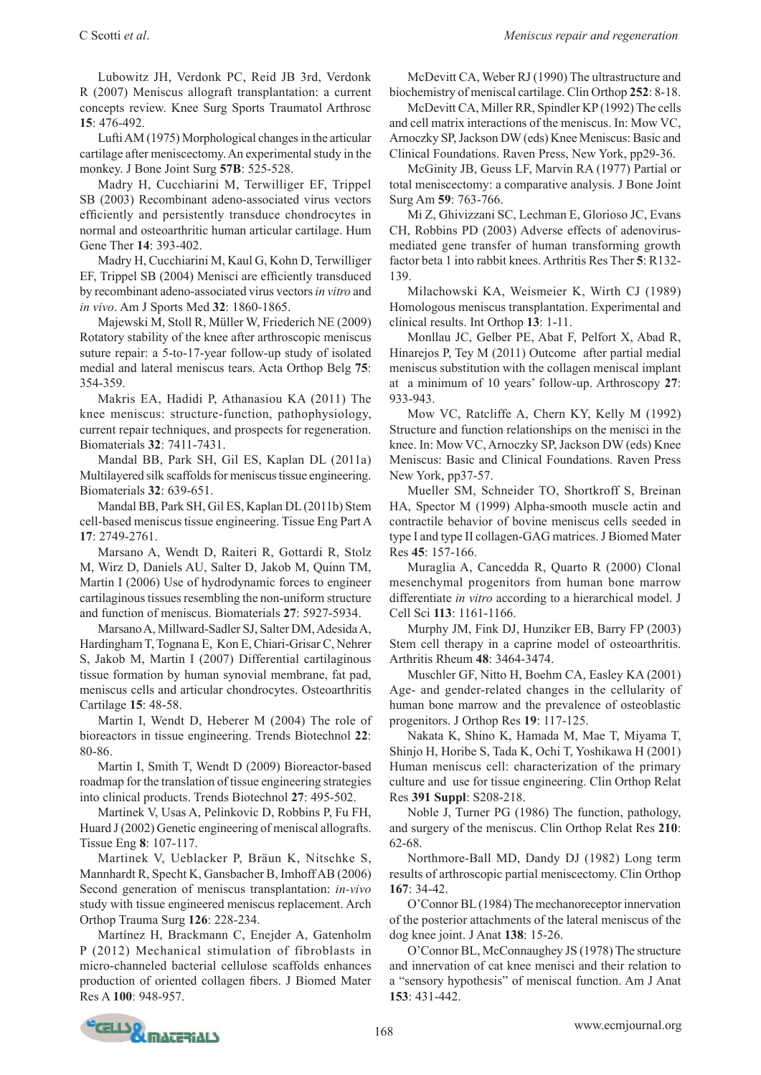Lubowitz JH, Verdonk PC, Reid JB 3rd, Verdonk R (2007) Meniscus allograft transplantation: a current concepts review. Knee Surg Sports Traumatol Arthrosc **15**: 476-492.

Lufti AM (1975) Morphological changes in the articular cartilage after meniscectomy. An experimental study in the monkey. J Bone Joint Surg **57B**: 525-528.

Madry H, Cucchiarini M, Terwilliger EF, Trippel SB (2003) Recombinant adeno-associated virus vectors efficiently and persistently transduce chondrocytes in normal and osteoarthritic human articular cartilage. Hum Gene Ther **14**: 393-402.

Madry H, Cucchiarini M, Kaul G, Kohn D, Terwilliger EF, Trippel SB (2004) Menisci are efficiently transduced by recombinant adeno-associated virus vectors *in vitro* and *in vivo*. Am J Sports Med **32**: 1860-1865.

Majewski M, Stoll R, Müller W, Friederich NE (2009) Rotatory stability of the knee after arthroscopic meniscus suture repair: a 5-to-17-year follow-up study of isolated medial and lateral meniscus tears. Acta Orthop Belg **75**: 354-359.

Makris EA, Hadidi P, Athanasiou KA (2011) The knee meniscus: structure-function, pathophysiology, current repair techniques, and prospects for regeneration. Biomaterials **32**: 7411-7431.

Mandal BB, Park SH, Gil ES, Kaplan DL (2011a) Multilayered silk scaffolds for meniscus tissue engineering. Biomaterials **32**: 639-651.

Mandal BB, Park SH, Gil ES, Kaplan DL (2011b) Stem cell-based meniscus tissue engineering. Tissue Eng Part A **17**: 2749-2761.

Marsano A, Wendt D, Raiteri R, Gottardi R, Stolz M, Wirz D, Daniels AU, Salter D, Jakob M, Quinn TM, Martin I (2006) Use of hydrodynamic forces to engineer cartilaginous tissues resembling the non-uniform structure and function of meniscus. Biomaterials **27**: 5927-5934.

Marsano A, Millward-Sadler SJ, Salter DM, Adesida A, Hardingham T, Tognana E, Kon E, Chiari-Grisar C, Nehrer S, Jakob M, Martin I (2007) Differential cartilaginous tissue formation by human synovial membrane, fat pad, meniscus cells and articular chondrocytes. Osteoarthritis Cartilage **15**: 48-58.

Martin I, Wendt D, Heberer M (2004) The role of bioreactors in tissue engineering. Trends Biotechnol **22**: 80-86.

Martin I, Smith T, Wendt D (2009) Bioreactor-based roadmap for the translation of tissue engineering strategies into clinical products. Trends Biotechnol **27**: 495-502.

Martinek V, Usas A, Pelinkovic D, Robbins P, Fu FH, Huard J (2002) Genetic engineering of meniscal allografts. Tissue Eng **8**: 107-117.

Martinek V, Ueblacker P, Bräun K, Nitschke S, Mannhardt R, Specht K, Gansbacher B, Imhoff AB (2006) Second generation of meniscus transplantation: *in-vivo* study with tissue engineered meniscus replacement. Arch Orthop Trauma Surg **126**: 228-234.

Martínez H, Brackmann C, Enejder A, Gatenholm P (2012) Mechanical stimulation of fibroblasts in micro-channeled bacterial cellulose scaffolds enhances production of oriented collagen fibers. J Biomed Mater Res A **100**: 948-957.

McDevitt CA, Weber RJ (1990) The ultrastructure and biochemistry of meniscal cartilage. Clin Orthop **252**: 8-18.

McDevitt CA, Miller RR, Spindler KP (1992) The cells and cell matrix interactions of the meniscus. In: Mow VC, Arnoczky SP, Jackson DW (eds) Knee Meniscus: Basic and Clinical Foundations. Raven Press, New York, pp29-36.

McGinity JB, Geuss LF, Marvin RA (1977) Partial or total meniscectomy: a comparative analysis. J Bone Joint Surg Am **59**: 763-766.

Mi Z, Ghivizzani SC, Lechman E, Glorioso JC, Evans CH, Robbins PD (2003) Adverse effects of adenovirusmediated gene transfer of human transforming growth factor beta 1 into rabbit knees. Arthritis Res Ther **5**: R132- 139.

Milachowski KA, Weismeier K, Wirth CJ (1989) Homologous meniscus transplantation. Experimental and clinical results. Int Orthop **13**: 1-11.

Monllau JC, Gelber PE, Abat F, Pelfort X, Abad R, Hinarejos P, Tey M (2011) Outcome after partial medial meniscus substitution with the collagen meniscal implant at a minimum of 10 years' follow-up. Arthroscopy **27**: 933-943.

Mow VC, Ratcliffe A, Chern KY, Kelly M (1992) Structure and function relationships on the menisci in the knee. In: Mow VC, Arnoczky SP, Jackson DW (eds) Knee Meniscus: Basic and Clinical Foundations. Raven Press New York, pp37-57.

Mueller SM, Schneider TO, Shortkroff S, Breinan HA, Spector M (1999) Alpha-smooth muscle actin and contractile behavior of bovine meniscus cells seeded in type I and type II collagen-GAG matrices. J Biomed Mater Res **45**: 157-166.

Muraglia A, Cancedda R, Quarto R (2000) Clonal mesenchymal progenitors from human bone marrow differentiate *in vitro* according to a hierarchical model. J Cell Sci **113**: 1161-1166.

Murphy JM, Fink DJ, Hunziker EB, Barry FP (2003) Stem cell therapy in a caprine model of osteoarthritis. Arthritis Rheum **48**: 3464-3474.

Muschler GF, Nitto H, Boehm CA, Easley KA (2001) Age- and gender-related changes in the cellularity of human bone marrow and the prevalence of osteoblastic progenitors. J Orthop Res **19**: 117-125.

Nakata K, Shino K, Hamada M, Mae T, Miyama T, Shinjo H, Horibe S, Tada K, Ochi T, Yoshikawa H (2001) Human meniscus cell: characterization of the primary culture and use for tissue engineering. Clin Orthop Relat Res **391 Suppl**: S208-218.

Noble J, Turner PG (1986) The function, pathology, and surgery of the meniscus. Clin Orthop Relat Res **210**: 62-68.

Northmore-Ball MD, Dandy DJ (1982) Long term results of arthroscopic partial meniscectomy. Clin Orthop **167**: 34-42.

O'Connor BL (1984) The mechanoreceptor innervation of the posterior attachments of the lateral meniscus of the dog knee joint. J Anat **138**: 15-26.

O'Connor BL, McConnaughey JS (1978) The structure and innervation of cat knee menisci and their relation to a "sensory hypothesis" of meniscal function. Am J Anat **153**: 431-442.

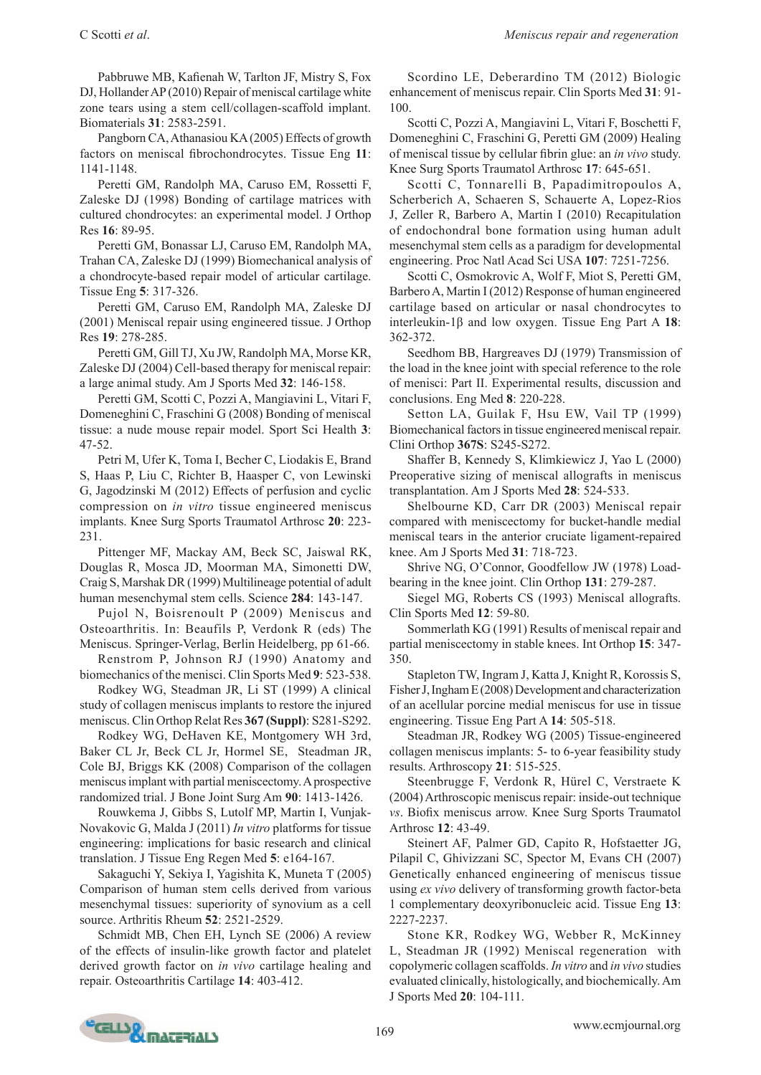Pabbruwe MB, Kafienah W, Tarlton JF, Mistry S, Fox DJ, Hollander AP (2010) Repair of meniscal cartilage white zone tears using a stem cell/collagen-scaffold implant. Biomaterials **31**: 2583-2591.

Pangborn CA, Athanasiou KA (2005) Effects of growth factors on meniscal fibrochondrocytes. Tissue Eng **11**: 1141-1148.

Peretti GM, Randolph MA, Caruso EM, Rossetti F, Zaleske DJ (1998) Bonding of cartilage matrices with cultured chondrocytes: an experimental model. J Orthop Res **16**: 89-95.

Peretti GM, Bonassar LJ, Caruso EM, Randolph MA, Trahan CA, Zaleske DJ (1999) Biomechanical analysis of a chondrocyte-based repair model of articular cartilage. Tissue Eng **5**: 317-326.

Peretti GM, Caruso EM, Randolph MA, Zaleske DJ (2001) Meniscal repair using engineered tissue. J Orthop Res **19**: 278-285.

Peretti GM, Gill TJ, Xu JW, Randolph MA, Morse KR, Zaleske DJ (2004) Cell-based therapy for meniscal repair: a large animal study. Am J Sports Med **32**: 146-158.

Peretti GM, Scotti C, Pozzi A, Mangiavini L, Vitari F, Domeneghini C, Fraschini G (2008) Bonding of meniscal tissue: a nude mouse repair model. Sport Sci Health **3**: 47-52.

Petri M, Ufer K, Toma I, Becher C, Liodakis E, Brand S, Haas P, Liu C, Richter B, Haasper C, von Lewinski G, Jagodzinski M (2012) Effects of perfusion and cyclic compression on *in vitro* tissue engineered meniscus implants. Knee Surg Sports Traumatol Arthrosc **20**: 223- 231.

Pittenger MF, Mackay AM, Beck SC, Jaiswal RK, Douglas R, Mosca JD, Moorman MA, Simonetti DW, Craig S, Marshak DR (1999) Multilineage potential of adult human mesenchymal stem cells. Science **284**: 143-147.

Pujol N, Boisrenoult P (2009) Meniscus and Osteoarthritis. In: Beaufils P, Verdonk R (eds) The Meniscus. Springer-Verlag, Berlin Heidelberg, pp 61-66.

Renstrom P, Johnson RJ (1990) Anatomy and biomechanics of the menisci. Clin Sports Med **9**: 523-538.

Rodkey WG, Steadman JR, Li ST (1999) A clinical study of collagen meniscus implants to restore the injured meniscus. Clin Orthop Relat Res **367 (Suppl)**: S281-S292.

Rodkey WG, DeHaven KE, Montgomery WH 3rd, Baker CL Jr, Beck CL Jr, Hormel SE, Steadman JR, Cole BJ, Briggs KK (2008) Comparison of the collagen meniscus implant with partial meniscectomy. A prospective randomized trial. J Bone Joint Surg Am **90**: 1413-1426.

Rouwkema J, Gibbs S, Lutolf MP, Martin I, Vunjak-Novakovic G, Malda J (2011) *In vitro* platforms for tissue engineering: implications for basic research and clinical translation. J Tissue Eng Regen Med **5**: e164-167.

Sakaguchi Y, Sekiya I, Yagishita K, Muneta T (2005) Comparison of human stem cells derived from various mesenchymal tissues: superiority of synovium as a cell source. Arthritis Rheum **52**: 2521-2529.

Schmidt MB, Chen EH, Lynch SE (2006) A review of the effects of insulin-like growth factor and platelet derived growth factor on *in vivo* cartilage healing and repair. Osteoarthritis Cartilage **14**: 403-412.

Scordino LE, Deberardino TM (2012) Biologic enhancement of meniscus repair. Clin Sports Med **31**: 91- 100.

Scotti C, Pozzi A, Mangiavini L, Vitari F, Boschetti F, Domeneghini C, Fraschini G, Peretti GM (2009) Healing of meniscal tissue by cellular fibrin glue: an *in vivo* study. Knee Surg Sports Traumatol Arthrosc **17**: 645-651.

Scotti C, Tonnarelli B, Papadimitropoulos A, Scherberich A, Schaeren S, Schauerte A, Lopez-Rios J, Zeller R, Barbero A, Martin I (2010) Recapitulation of endochondral bone formation using human adult mesenchymal stem cells as a paradigm for developmental engineering. Proc Natl Acad Sci USA **107**: 7251-7256.

Scotti C, Osmokrovic A, Wolf F, Miot S, Peretti GM, Barbero A, Martin I (2012) Response of human engineered cartilage based on articular or nasal chondrocytes to interleukin-1β and low oxygen. Tissue Eng Part A **18**: 362-372.

Seedhom BB, Hargreaves DJ (1979) Transmission of the load in the knee joint with special reference to the role of menisci: Part II. Experimental results, discussion and conclusions. Eng Med **8**: 220-228.

Setton LA, Guilak F, Hsu EW, Vail TP (1999) Biomechanical factors in tissue engineered meniscal repair. Clini Orthop **367S**: S245-S272.

Shaffer B, Kennedy S, Klimkiewicz J, Yao L (2000) Preoperative sizing of meniscal allografts in meniscus transplantation. Am J Sports Med **28**: 524-533.

Shelbourne KD, Carr DR (2003) Meniscal repair compared with meniscectomy for bucket-handle medial meniscal tears in the anterior cruciate ligament-repaired knee. Am J Sports Med **31**: 718-723.

Shrive NG, O'Connor, Goodfellow JW (1978) Loadbearing in the knee joint. Clin Orthop **131**: 279-287.

Siegel MG, Roberts CS (1993) Meniscal allografts. Clin Sports Med **12**: 59-80.

Sommerlath KG (1991) Results of meniscal repair and partial meniscectomy in stable knees. Int Orthop **15**: 347- 350.

Stapleton TW, Ingram J, Katta J, Knight R, Korossis S, Fisher J, Ingham E (2008) Development and characterization of an acellular porcine medial meniscus for use in tissue engineering. Tissue Eng Part A **14**: 505-518.

Steadman JR, Rodkey WG (2005) Tissue-engineered collagen meniscus implants: 5- to 6-year feasibility study results. Arthroscopy **21**: 515-525.

Steenbrugge F, Verdonk R, Hürel C, Verstraete K (2004) Arthroscopic meniscus repair: inside-out technique *vs*. Biofix meniscus arrow. Knee Surg Sports Traumatol Arthrosc **12**: 43-49.

Steinert AF, Palmer GD, Capito R, Hofstaetter JG, Pilapil C, Ghivizzani SC, Spector M, Evans CH (2007) Genetically enhanced engineering of meniscus tissue using *ex vivo* delivery of transforming growth factor-beta 1 complementary deoxyribonucleic acid. Tissue Eng **13**: 2227-2237.

Stone KR, Rodkey WG, Webber R, McKinney L, Steadman JR (1992) Meniscal regeneration with copolymeric collagen scaffolds. *In vitro* and *in vivo* studies evaluated clinically, histologically, and biochemically. Am J Sports Med **20**: 104-111.